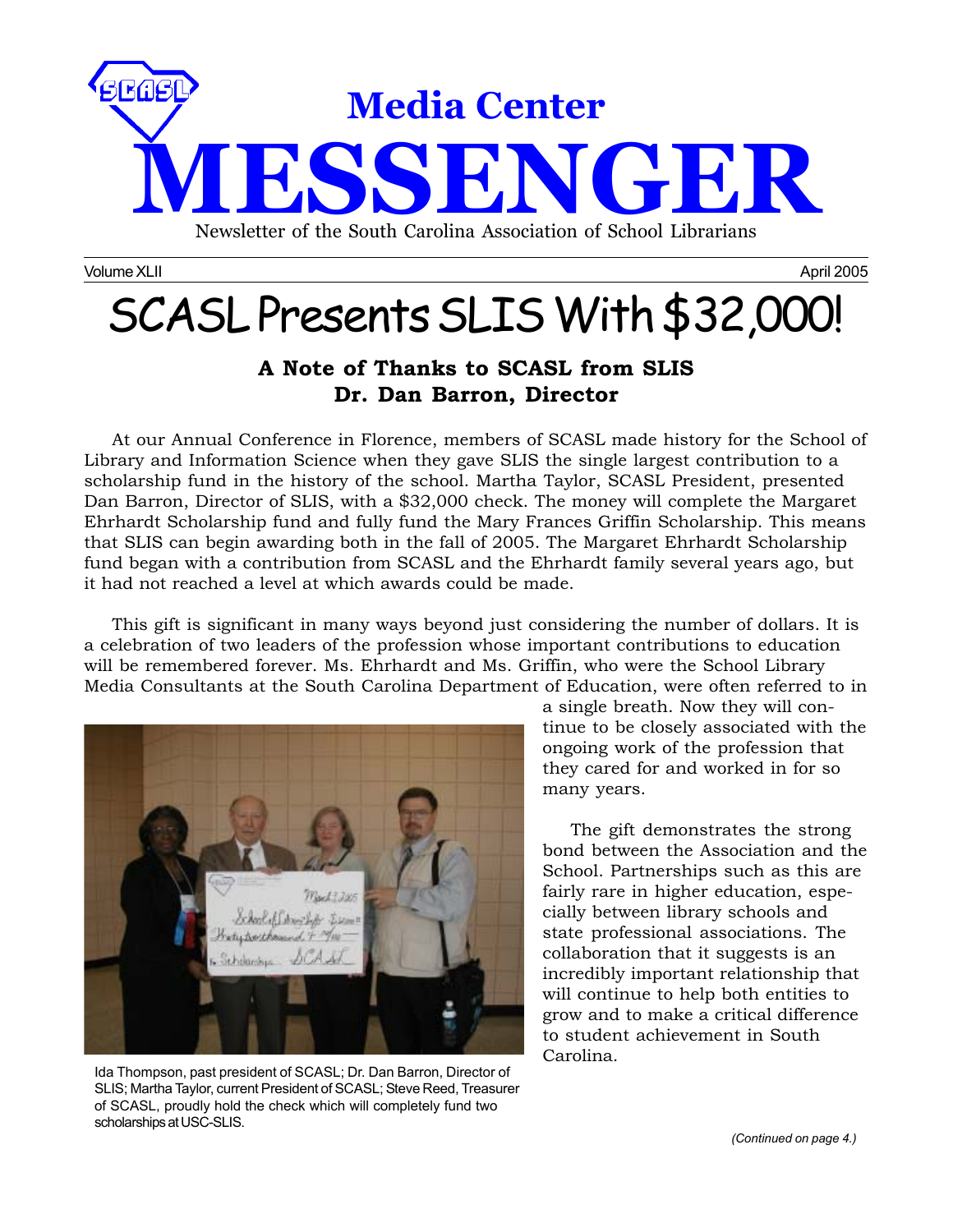

Volume XLII April 2005 November 2005 November 2005 November 2006 November 2006 November 2005

# SCASL Presents SLIS With \$32,000!

### **A Note of Thanks to SCASL from SLIS Dr. Dan Barron, Director**

At our Annual Conference in Florence, members of SCASL made history for the School of Library and Information Science when they gave SLIS the single largest contribution to a scholarship fund in the history of the school. Martha Taylor, SCASL President, presented Dan Barron, Director of SLIS, with a \$32,000 check. The money will complete the Margaret Ehrhardt Scholarship fund and fully fund the Mary Frances Griffin Scholarship. This means that SLIS can begin awarding both in the fall of 2005. The Margaret Ehrhardt Scholarship fund began with a contribution from SCASL and the Ehrhardt family several years ago, but it had not reached a level at which awards could be made.

This gift is significant in many ways beyond just considering the number of dollars. It is a celebration of two leaders of the profession whose important contributions to education will be remembered forever. Ms. Ehrhardt and Ms. Griffin, who were the School Library Media Consultants at the South Carolina Department of Education, were often referred to in



Ida Thompson, past president of SCASL; Dr. Dan Barron, Director of SLIS; Martha Taylor, current President of SCASL; Steve Reed, Treasurer of SCASL, proudly hold the check which will completely fund two scholarships at USC-SLIS.

a single breath. Now they will continue to be closely associated with the ongoing work of the profession that they cared for and worked in for so many years.

The gift demonstrates the strong bond between the Association and the School. Partnerships such as this are fairly rare in higher education, especially between library schools and state professional associations. The collaboration that it suggests is an incredibly important relationship that will continue to help both entities to grow and to make a critical difference to student achievement in South Carolina.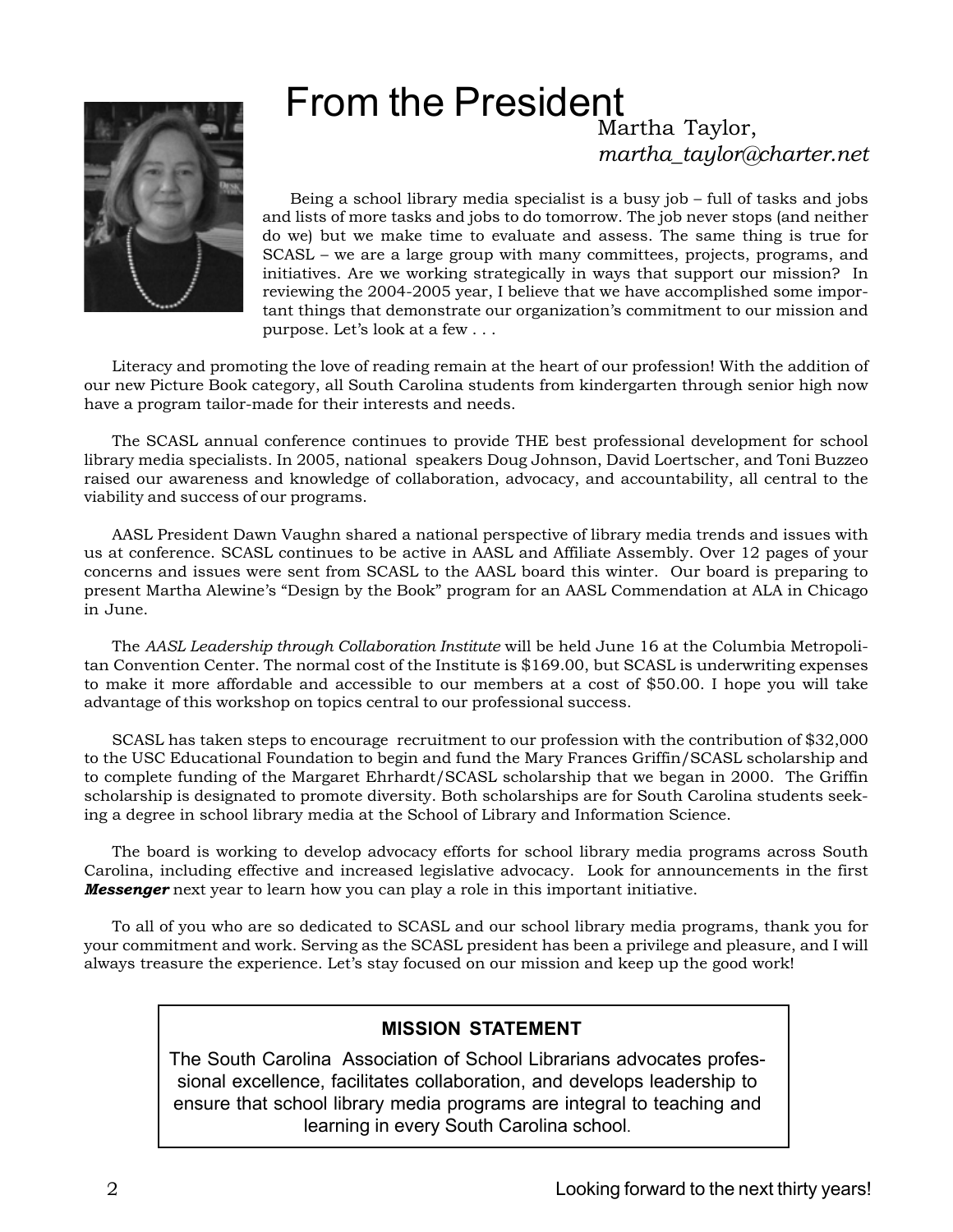## From the President Martha Taylor,



Being a school library media specialist is a busy job – full of tasks and jobs and lists of more tasks and jobs to do tomorrow. The job never stops (and neither do we) but we make time to evaluate and assess. The same thing is true for SCASL – we are a large group with many committees, projects, programs, and initiatives. Are we working strategically in ways that support our mission? In reviewing the 2004-2005 year, I believe that we have accomplished some important things that demonstrate our organization's commitment to our mission and purpose. Let's look at a few . . .

*martha\_taylor@charter.net*

Literacy and promoting the love of reading remain at the heart of our profession! With the addition of our new Picture Book category, all South Carolina students from kindergarten through senior high now have a program tailor-made for their interests and needs.

The SCASL annual conference continues to provide THE best professional development for school library media specialists. In 2005, national speakers Doug Johnson, David Loertscher, and Toni Buzzeo raised our awareness and knowledge of collaboration, advocacy, and accountability, all central to the viability and success of our programs.

AASL President Dawn Vaughn shared a national perspective of library media trends and issues with us at conference. SCASL continues to be active in AASL and Affiliate Assembly. Over 12 pages of your concerns and issues were sent from SCASL to the AASL board this winter. Our board is preparing to present Martha Alewine's "Design by the Book" program for an AASL Commendation at ALA in Chicago in June.

The *AASL Leadership through Collaboration Institute* will be held June 16 at the Columbia Metropolitan Convention Center. The normal cost of the Institute is \$169.00, but SCASL is underwriting expenses to make it more affordable and accessible to our members at a cost of \$50.00. I hope you will take advantage of this workshop on topics central to our professional success.

SCASL has taken steps to encourage recruitment to our profession with the contribution of \$32,000 to the USC Educational Foundation to begin and fund the Mary Frances Griffin/SCASL scholarship and to complete funding of the Margaret Ehrhardt/SCASL scholarship that we began in 2000. The Griffin scholarship is designated to promote diversity. Both scholarships are for South Carolina students seeking a degree in school library media at the School of Library and Information Science.

The board is working to develop advocacy efforts for school library media programs across South Carolina, including effective and increased legislative advocacy. Look for announcements in the first *Messenger* next year to learn how you can play a role in this important initiative.

To all of you who are so dedicated to SCASL and our school library media programs, thank you for your commitment and work. Serving as the SCASL president has been a privilege and pleasure, and I will always treasure the experience. Let's stay focused on our mission and keep up the good work!

### **MISSION STATEMENT**

The South Carolina Association of School Librarians advocates professional excellence, facilitates collaboration, and develops leadership to ensure that school library media programs are integral to teaching and learning in every South Carolina school.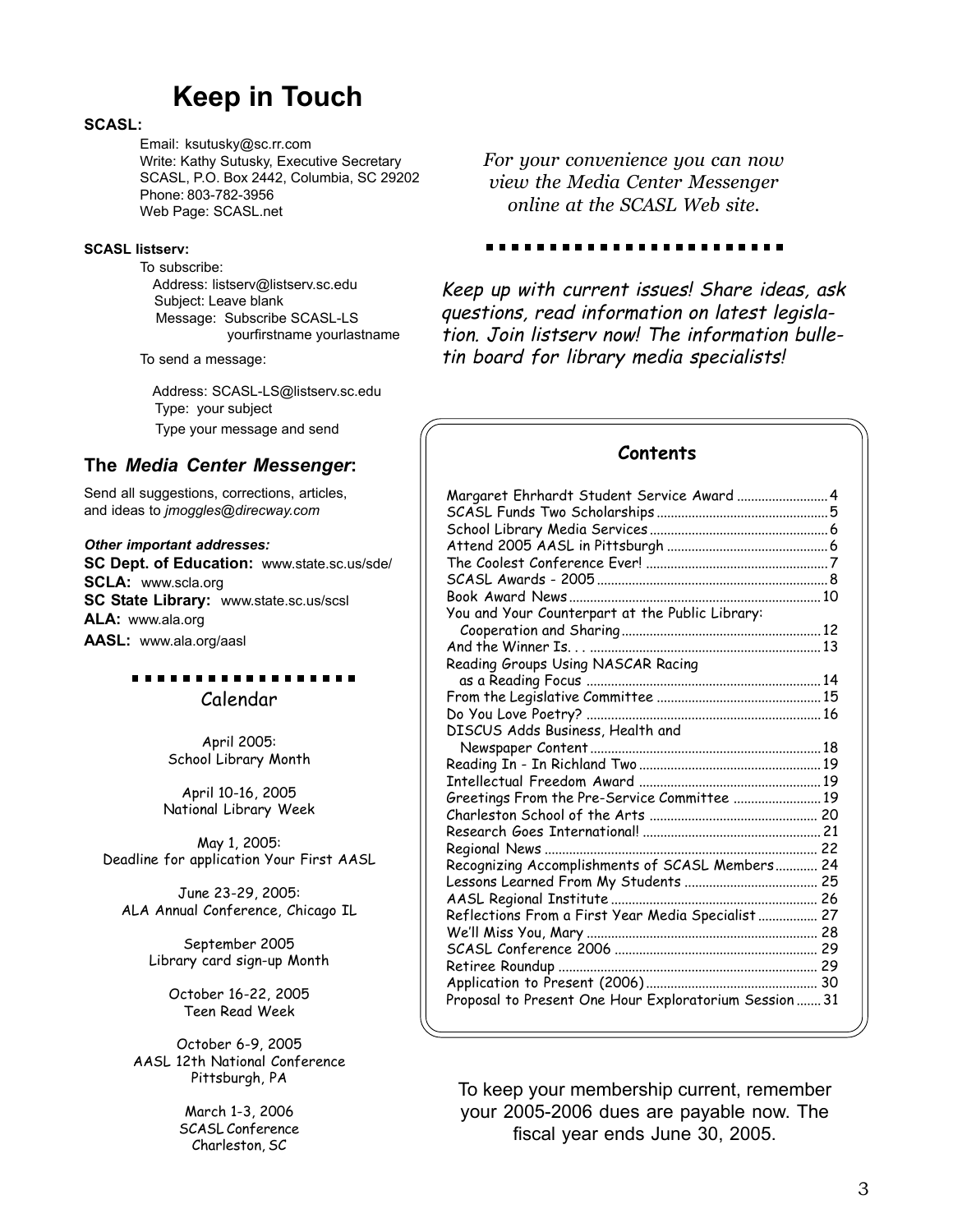## **Keep in Touch**

#### **SCASL:**

Email: ksutusky@sc.rr.com Write: Kathy Sutusky, Executive Secretary SCASL, P.O. Box 2442, Columbia, SC 29202 Phone: 803-782-3956 Web Page: SCASL.net

#### **SCASL listserv:**

To subscribe: Address: listserv@listserv.sc.edu Subject: Leave blank Message: Subscribe SCASL-LS yourfirstname yourlastname

To send a message:

 Address: SCASL-LS@listserv.sc.edu Type: your subject Type your message and send

### **The** *Media Center Messenger***:**

Send all suggestions, corrections, articles, and ideas to *jmoggles@direcway.com*

#### *Other important addresses:*

**SC Dept. of Education:** www.state.sc.us/sde/ **SCLA:** www.scla.org **SC State Library:** www.state.sc.us/scsl **ALA:** www.ala.org **AASL:** www.ala.org/aasl

### . . . . . Calendar

April 2005: School Library Month

April 10-16, 2005 National Library Week

May 1, 2005: Deadline for application Your First AASL

June 23-29, 2005: ALA Annual Conference, Chicago IL

> September 2005 Library card sign-up Month

> > October 16-22, 2005 Teen Read Week

October 6-9, 2005 AASL 12th National Conference Pittsburgh, PA

> March 1-3, 2006 SCASL Conference Charleston, SC

*For your convenience you can now view the Media Center Messenger online at the SCASL Web site.*

. . . . . . . . . . . . . . . . . .

Keep up with current issues! Share ideas, ask questions, read information on latest legislation. Join listserv now! The information bulletin board for library media specialists!

### **Contents**

| Margaret Ehrhardt Student Service Award  4            |  |
|-------------------------------------------------------|--|
|                                                       |  |
|                                                       |  |
|                                                       |  |
|                                                       |  |
|                                                       |  |
|                                                       |  |
| You and Your Counterpart at the Public Library:       |  |
|                                                       |  |
|                                                       |  |
| Reading Groups Using NASCAR Racing                    |  |
|                                                       |  |
|                                                       |  |
|                                                       |  |
| DISCUS Adds Business, Health and                      |  |
|                                                       |  |
|                                                       |  |
|                                                       |  |
| Greetings From the Pre-Service Committee  19          |  |
|                                                       |  |
|                                                       |  |
|                                                       |  |
| Recognizing Accomplishments of SCASL Members 24       |  |
|                                                       |  |
|                                                       |  |
| Reflections From a First Year Media Specialist 27     |  |
|                                                       |  |
|                                                       |  |
|                                                       |  |
|                                                       |  |
| Proposal to Present One Hour Exploratorium Session 31 |  |

To keep your membership current, remember your 2005-2006 dues are payable now. The fiscal year ends June 30, 2005.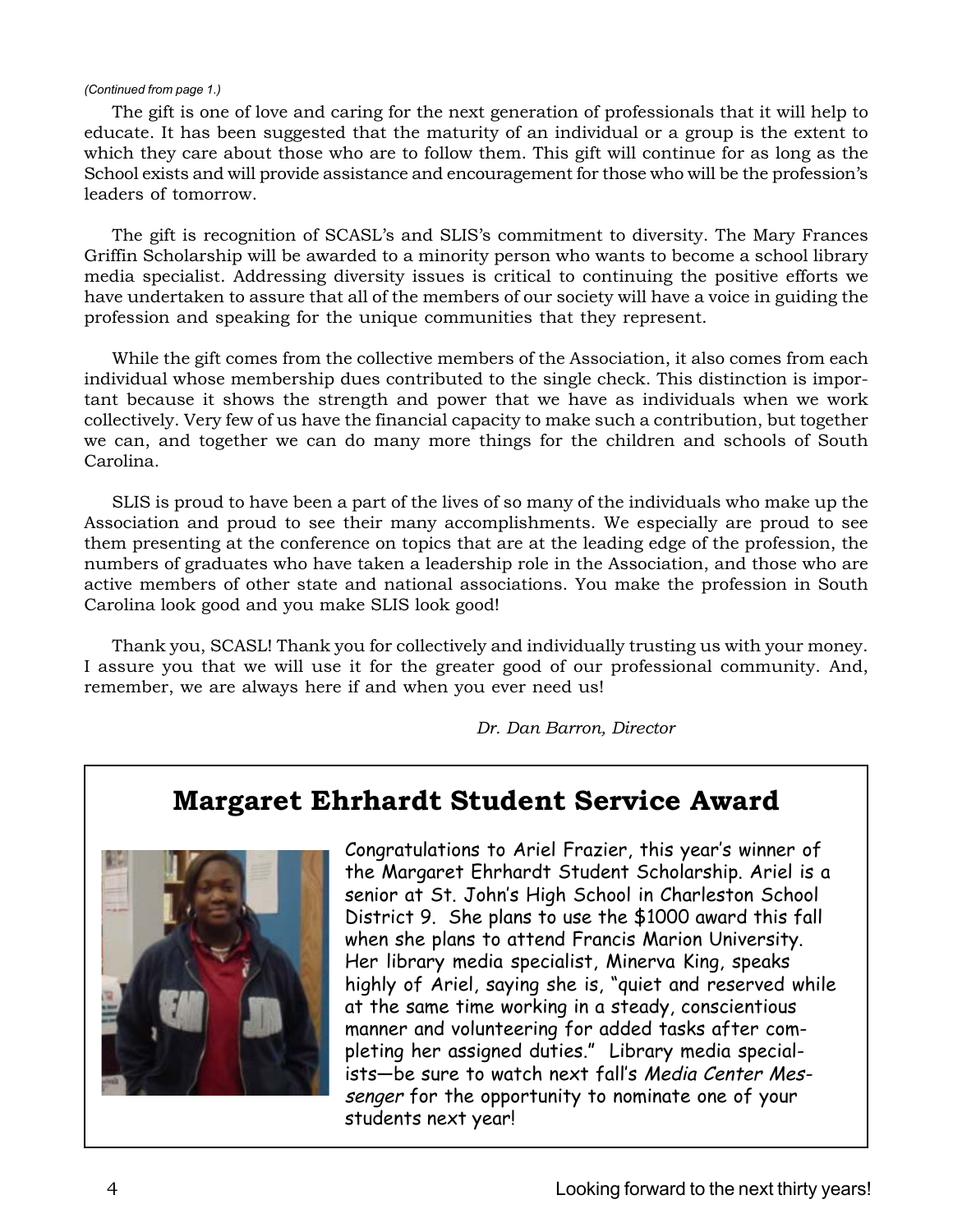#### *(Continued from page 1.)*

The gift is one of love and caring for the next generation of professionals that it will help to educate. It has been suggested that the maturity of an individual or a group is the extent to which they care about those who are to follow them. This gift will continue for as long as the School exists and will provide assistance and encouragement for those who will be the profession's leaders of tomorrow.

The gift is recognition of SCASL's and SLIS's commitment to diversity. The Mary Frances Griffin Scholarship will be awarded to a minority person who wants to become a school library media specialist. Addressing diversity issues is critical to continuing the positive efforts we have undertaken to assure that all of the members of our society will have a voice in guiding the profession and speaking for the unique communities that they represent.

While the gift comes from the collective members of the Association, it also comes from each individual whose membership dues contributed to the single check. This distinction is important because it shows the strength and power that we have as individuals when we work collectively. Very few of us have the financial capacity to make such a contribution, but together we can, and together we can do many more things for the children and schools of South Carolina.

SLIS is proud to have been a part of the lives of so many of the individuals who make up the Association and proud to see their many accomplishments. We especially are proud to see them presenting at the conference on topics that are at the leading edge of the profession, the numbers of graduates who have taken a leadership role in the Association, and those who are active members of other state and national associations. You make the profession in South Carolina look good and you make SLIS look good!

Thank you, SCASL! Thank you for collectively and individually trusting us with your money. I assure you that we will use it for the greater good of our professional community. And, remember, we are always here if and when you ever need us!

*Dr. Dan Barron, Director*

## **Margaret Ehrhardt Student Service Award**



Congratulations to Ariel Frazier, this year's winner of the Margaret Ehrhardt Student Scholarship. Ariel is a senior at St. John's High School in Charleston School District 9. She plans to use the \$1000 award this fall when she plans to attend Francis Marion University. Her library media specialist, Minerva King, speaks highly of Ariel, saying she is, "quiet and reserved while at the same time working in a steady, conscientious manner and volunteering for added tasks after completing her assigned duties." Library media specialists—be sure to watch next fall's Media Center Messenger for the opportunity to nominate one of your students next year!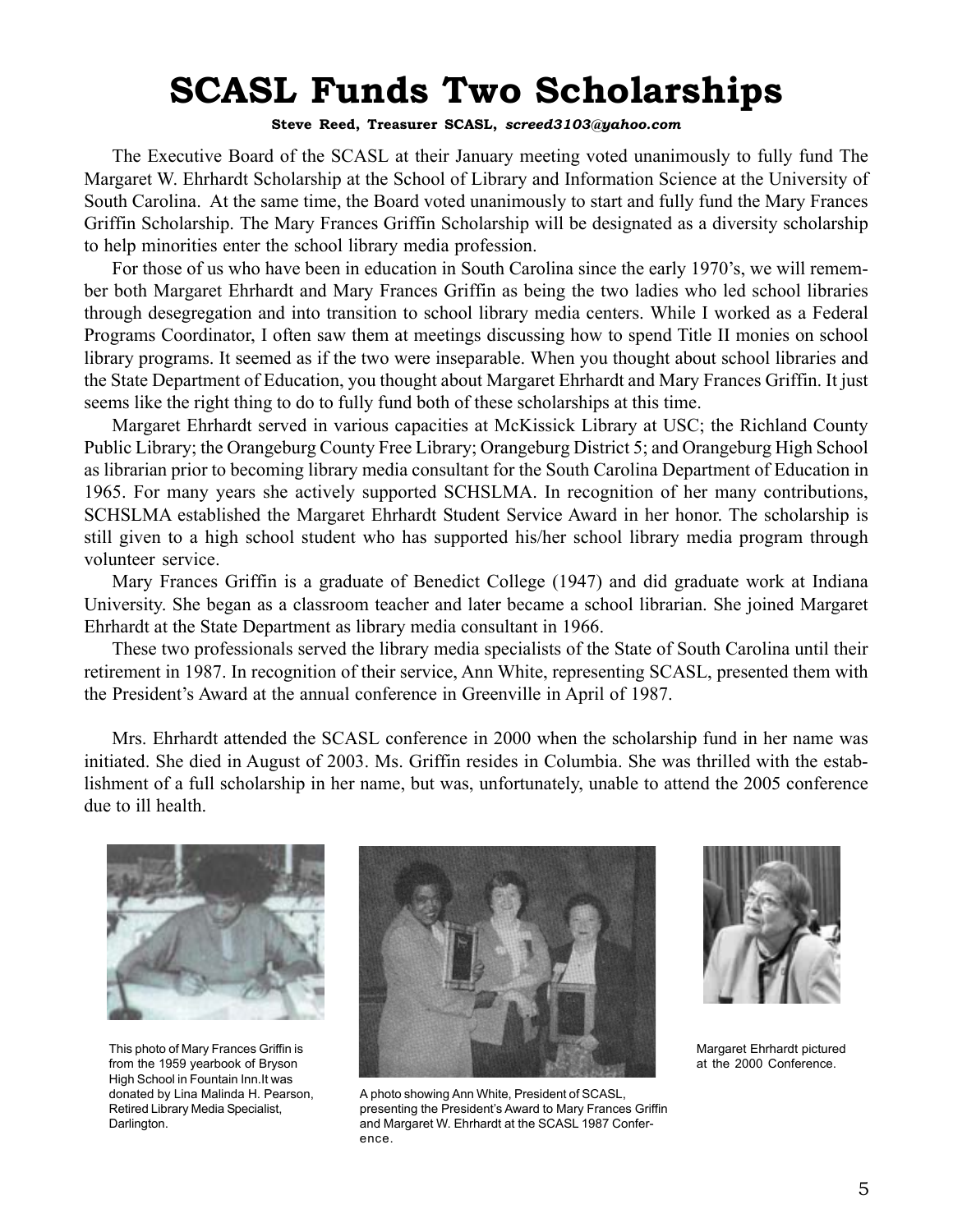# **SCASL Funds Two Scholarships**

### **Steve Reed, Treasurer SCASL,** *screed3103@yahoo.com*

The Executive Board of the SCASL at their January meeting voted unanimously to fully fund The Margaret W. Ehrhardt Scholarship at the School of Library and Information Science at the University of South Carolina. At the same time, the Board voted unanimously to start and fully fund the Mary Frances Griffin Scholarship. The Mary Frances Griffin Scholarship will be designated as a diversity scholarship to help minorities enter the school library media profession.

For those of us who have been in education in South Carolina since the early 1970's, we will remember both Margaret Ehrhardt and Mary Frances Griffin as being the two ladies who led school libraries through desegregation and into transition to school library media centers. While I worked as a Federal Programs Coordinator, I often saw them at meetings discussing how to spend Title II monies on school library programs. It seemed as if the two were inseparable. When you thought about school libraries and the State Department of Education, you thought about Margaret Ehrhardt and Mary Frances Griffin. It just seems like the right thing to do to fully fund both of these scholarships at this time.

Margaret Ehrhardt served in various capacities at McKissick Library at USC; the Richland County Public Library; the Orangeburg County Free Library; Orangeburg District 5; and Orangeburg High School as librarian prior to becoming library media consultant for the South Carolina Department of Education in 1965. For many years she actively supported SCHSLMA. In recognition of her many contributions, SCHSLMA established the Margaret Ehrhardt Student Service Award in her honor. The scholarship is still given to a high school student who has supported his/her school library media program through volunteer service.

Mary Frances Griffin is a graduate of Benedict College (1947) and did graduate work at Indiana University. She began as a classroom teacher and later became a school librarian. She joined Margaret Ehrhardt at the State Department as library media consultant in 1966.

These two professionals served the library media specialists of the State of South Carolina until their retirement in 1987. In recognition of their service, Ann White, representing SCASL, presented them with the President's Award at the annual conference in Greenville in April of 1987.

Mrs. Ehrhardt attended the SCASL conference in 2000 when the scholarship fund in her name was initiated. She died in August of 2003. Ms. Griffin resides in Columbia. She was thrilled with the establishment of a full scholarship in her name, but was, unfortunately, unable to attend the 2005 conference due to ill health.



This photo of Mary Frances Griffin is from the 1959 yearbook of Bryson High School in Fountain Inn.It was donated by Lina Malinda H. Pearson, Retired Library Media Specialist, Darlington.



A photo showing Ann White, President of SCASL, presenting the President's Award to Mary Frances Griffin and Margaret W. Ehrhardt at the SCASL 1987 Conference.



Margaret Ehrhardt pictured at the 2000 Conference.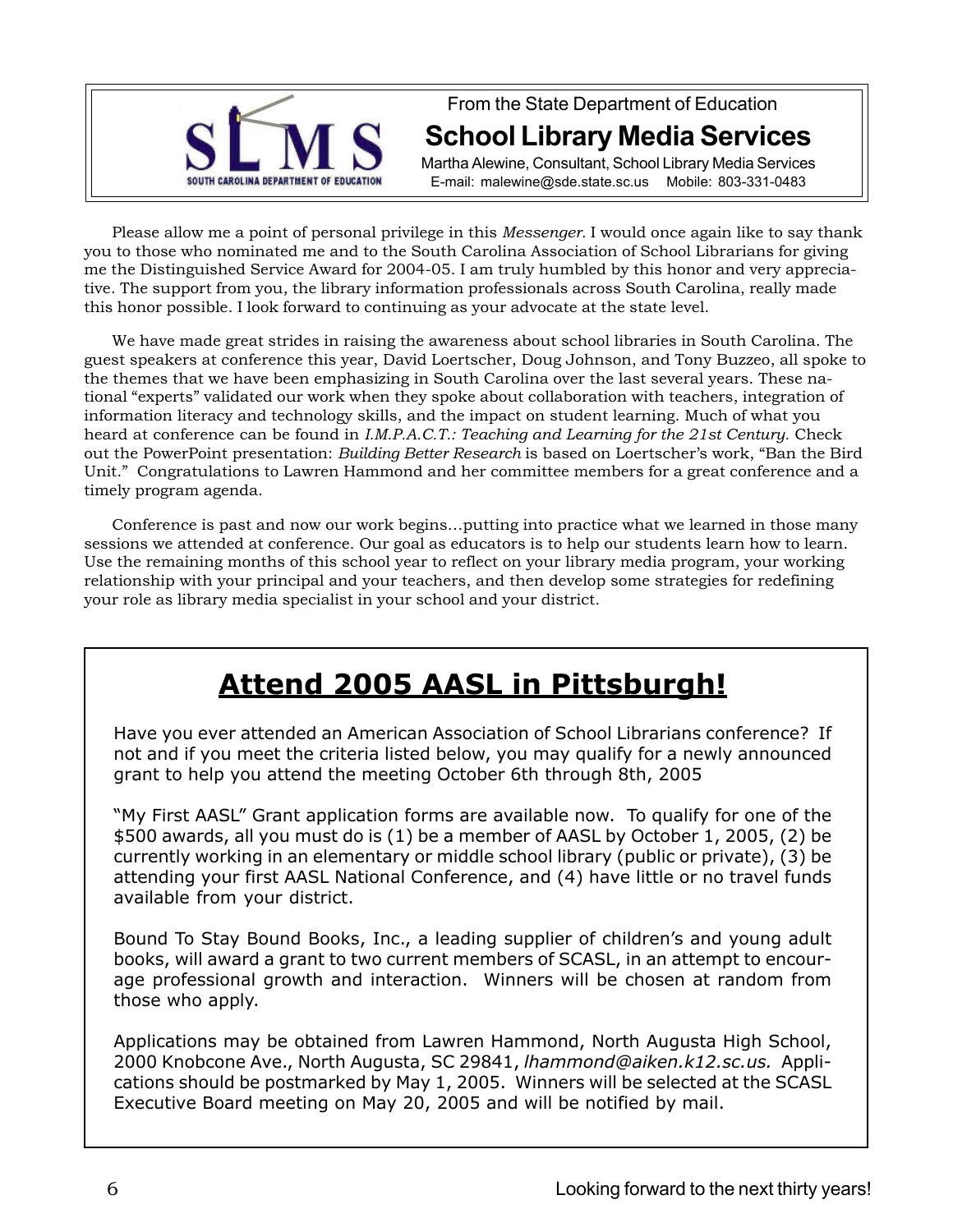

## From the State Department of Education **School Library Media Services**

Martha Alewine, Consultant, School Library Media Services E-mail: malewine@sde.state.sc.us Mobile: 803-331-0483

Please allow me a point of personal privilege in this *Messenger.* I would once again like to say thank you to those who nominated me and to the South Carolina Association of School Librarians for giving me the Distinguished Service Award for 2004-05. I am truly humbled by this honor and very appreciative. The support from you, the library information professionals across South Carolina, really made this honor possible. I look forward to continuing as your advocate at the state level.

We have made great strides in raising the awareness about school libraries in South Carolina. The guest speakers at conference this year, David Loertscher, Doug Johnson, and Tony Buzzeo, all spoke to the themes that we have been emphasizing in South Carolina over the last several years. These national "experts" validated our work when they spoke about collaboration with teachers, integration of information literacy and technology skills, and the impact on student learning. Much of what you heard at conference can be found in *I.M.P.A.C.T.: Teaching and Learning for the 21st Century.* Check out the PowerPoint presentation: *Building Better Research* is based on Loertscher's work, "Ban the Bird Unit." Congratulations to Lawren Hammond and her committee members for a great conference and a timely program agenda.

Conference is past and now our work begins…putting into practice what we learned in those many sessions we attended at conference. Our goal as educators is to help our students learn how to learn. Use the remaining months of this school year to reflect on your library media program, your working relationship with your principal and your teachers, and then develop some strategies for redefining your role as library media specialist in your school and your district.

# **Attend 2005 AASL in Pittsburgh!**

Have you ever attended an American Association of School Librarians conference? If not and if you meet the criteria listed below, you may qualify for a newly announced grant to help you attend the meeting October 6th through 8th, 2005

"My First AASL" Grant application forms are available now. To qualify for one of the \$500 awards, all you must do is (1) be a member of AASL by October 1, 2005, (2) be currently working in an elementary or middle school library (public or private), (3) be attending your first AASL National Conference, and (4) have little or no travel funds available from your district.

Bound To Stay Bound Books, Inc., a leading supplier of children's and young adult books, will award a grant to two current members of SCASL, in an attempt to encourage professional growth and interaction. Winners will be chosen at random from those who apply.

Applications may be obtained from Lawren Hammond, North Augusta High School, 2000 Knobcone Ave., North Augusta, SC 29841, *lhammond@aiken.k12.sc.us.* Applications should be postmarked by May 1, 2005. Winners will be selected at the SCASL Executive Board meeting on May 20, 2005 and will be notified by mail.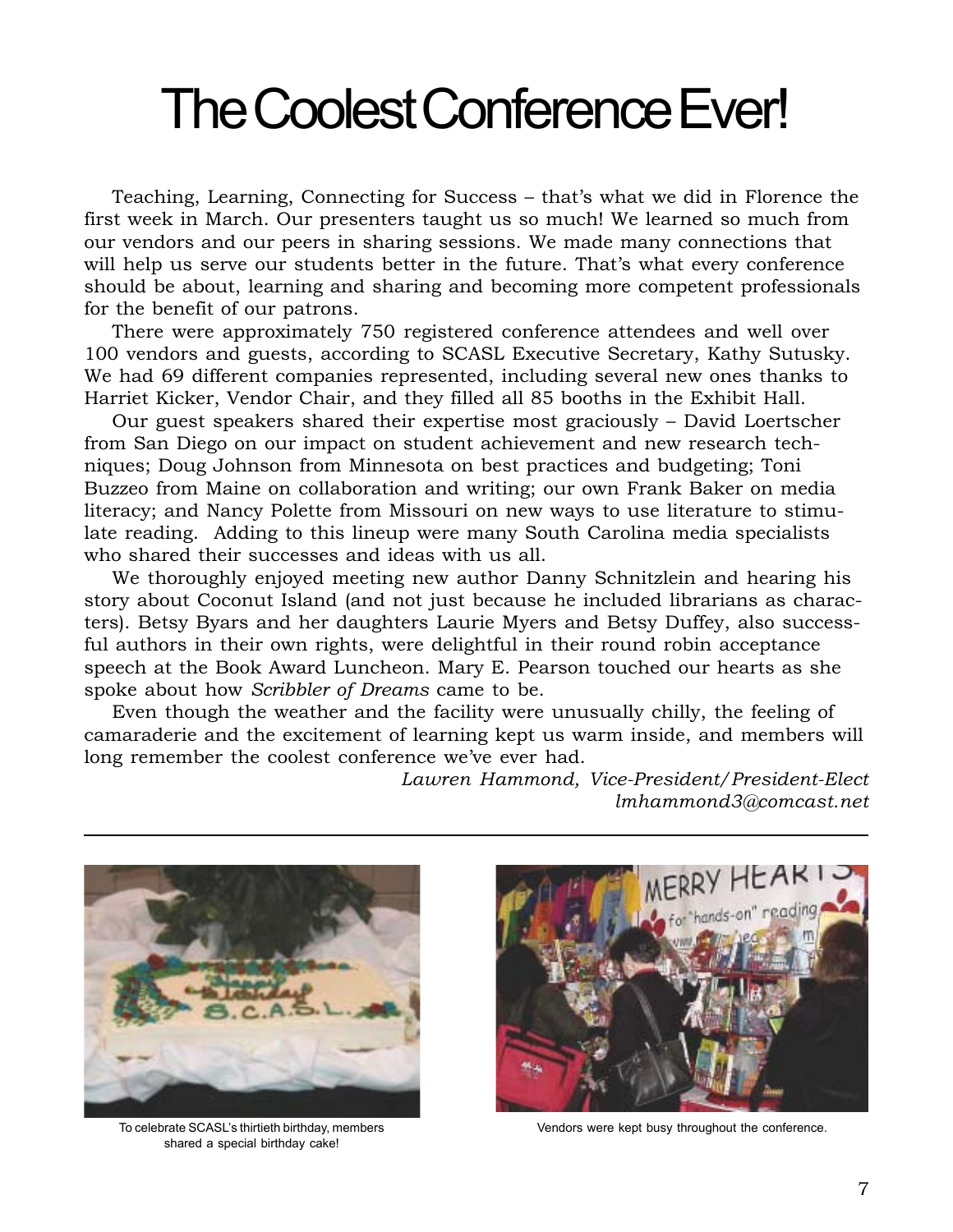# The Coolest Conference Ever!

Teaching, Learning, Connecting for Success – that's what we did in Florence the first week in March. Our presenters taught us so much! We learned so much from our vendors and our peers in sharing sessions. We made many connections that will help us serve our students better in the future. That's what every conference should be about, learning and sharing and becoming more competent professionals for the benefit of our patrons.

There were approximately 750 registered conference attendees and well over 100 vendors and guests, according to SCASL Executive Secretary, Kathy Sutusky. We had 69 different companies represented, including several new ones thanks to Harriet Kicker, Vendor Chair, and they filled all 85 booths in the Exhibit Hall.

Our guest speakers shared their expertise most graciously – David Loertscher from San Diego on our impact on student achievement and new research techniques; Doug Johnson from Minnesota on best practices and budgeting; Toni Buzzeo from Maine on collaboration and writing; our own Frank Baker on media literacy; and Nancy Polette from Missouri on new ways to use literature to stimulate reading. Adding to this lineup were many South Carolina media specialists who shared their successes and ideas with us all.

We thoroughly enjoyed meeting new author Danny Schnitzlein and hearing his story about Coconut Island (and not just because he included librarians as characters). Betsy Byars and her daughters Laurie Myers and Betsy Duffey, also successful authors in their own rights, were delightful in their round robin acceptance speech at the Book Award Luncheon. Mary E. Pearson touched our hearts as she spoke about how *Scribbler of Dreams* came to be.

Even though the weather and the facility were unusually chilly, the feeling of camaraderie and the excitement of learning kept us warm inside, and members will long remember the coolest conference we've ever had.

> *Lawren Hammond, Vice-President/President-Elect lmhammond3@comcast.net*



To celebrate SCASL's thirtieth birthday, members shared a special birthday cake!



Vendors were kept busy throughout the conference.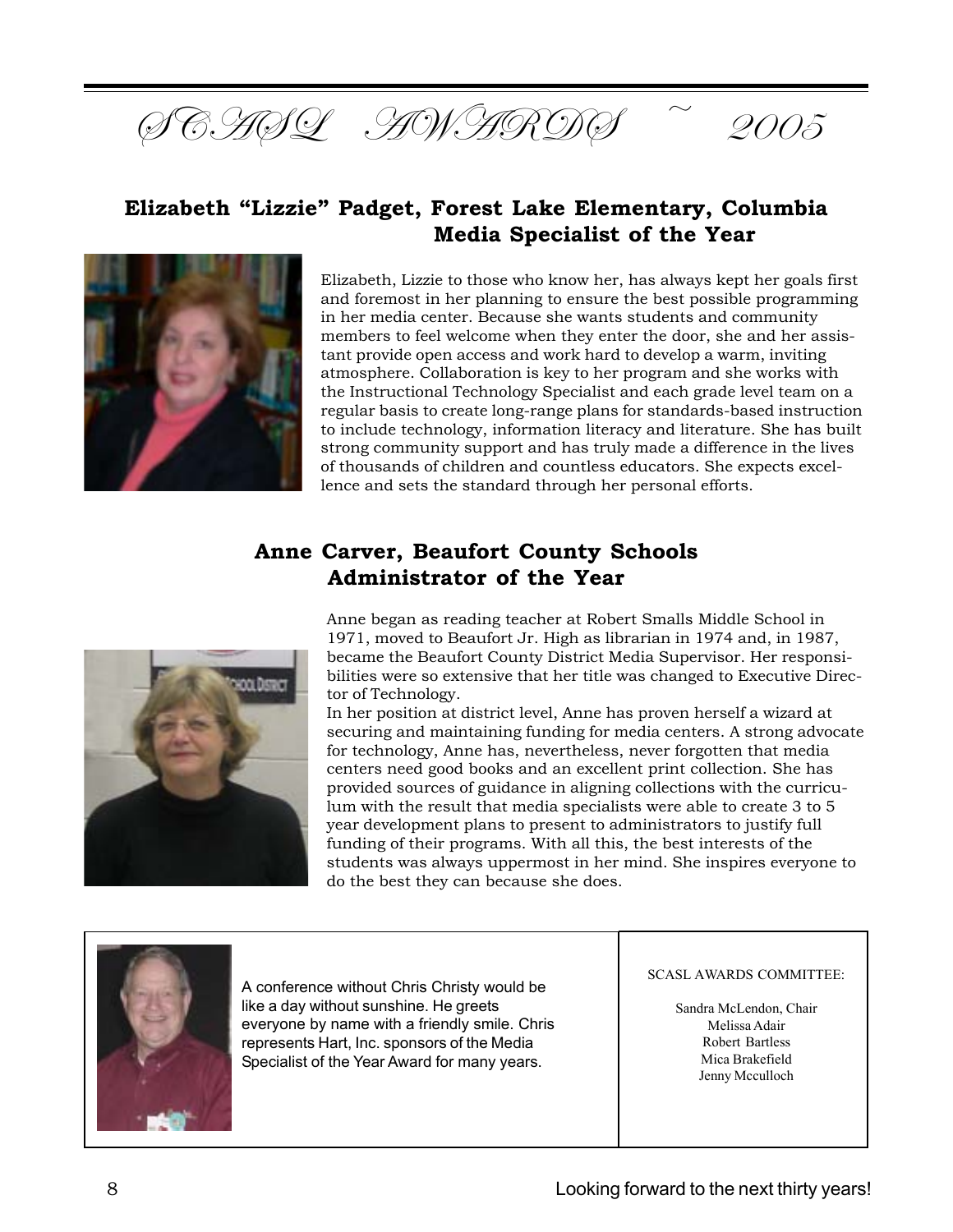

### **Elizabeth "Lizzie" Padget, Forest Lake Elementary, Columbia Media Specialist of the Year**



Elizabeth, Lizzie to those who know her, has always kept her goals first and foremost in her planning to ensure the best possible programming in her media center. Because she wants students and community members to feel welcome when they enter the door, she and her assistant provide open access and work hard to develop a warm, inviting atmosphere. Collaboration is key to her program and she works with the Instructional Technology Specialist and each grade level team on a regular basis to create long-range plans for standards-based instruction to include technology, information literacy and literature. She has built strong community support and has truly made a difference in the lives of thousands of children and countless educators. She expects excellence and sets the standard through her personal efforts.

## **Anne Carver, Beaufort County Schools Administrator of the Year**



Anne began as reading teacher at Robert Smalls Middle School in 1971, moved to Beaufort Jr. High as librarian in 1974 and, in 1987, became the Beaufort County District Media Supervisor. Her responsibilities were so extensive that her title was changed to Executive Director of Technology.

In her position at district level, Anne has proven herself a wizard at securing and maintaining funding for media centers. A strong advocate for technology, Anne has, nevertheless, never forgotten that media centers need good books and an excellent print collection. She has provided sources of guidance in aligning collections with the curriculum with the result that media specialists were able to create 3 to 5 year development plans to present to administrators to justify full funding of their programs. With all this, the best interests of the students was always uppermost in her mind. She inspires everyone to do the best they can because she does.



A conference without Chris Christy would be like a day without sunshine. He greets everyone by name with a friendly smile. Chris represents Hart, Inc. sponsors of the Media Specialist of the Year Award for many years.

#### SCASL AWARDS COMMITTEE:

Sandra McLendon, Chair Melissa Adair Robert Bartless Mica Brakefield Jenny Mcculloch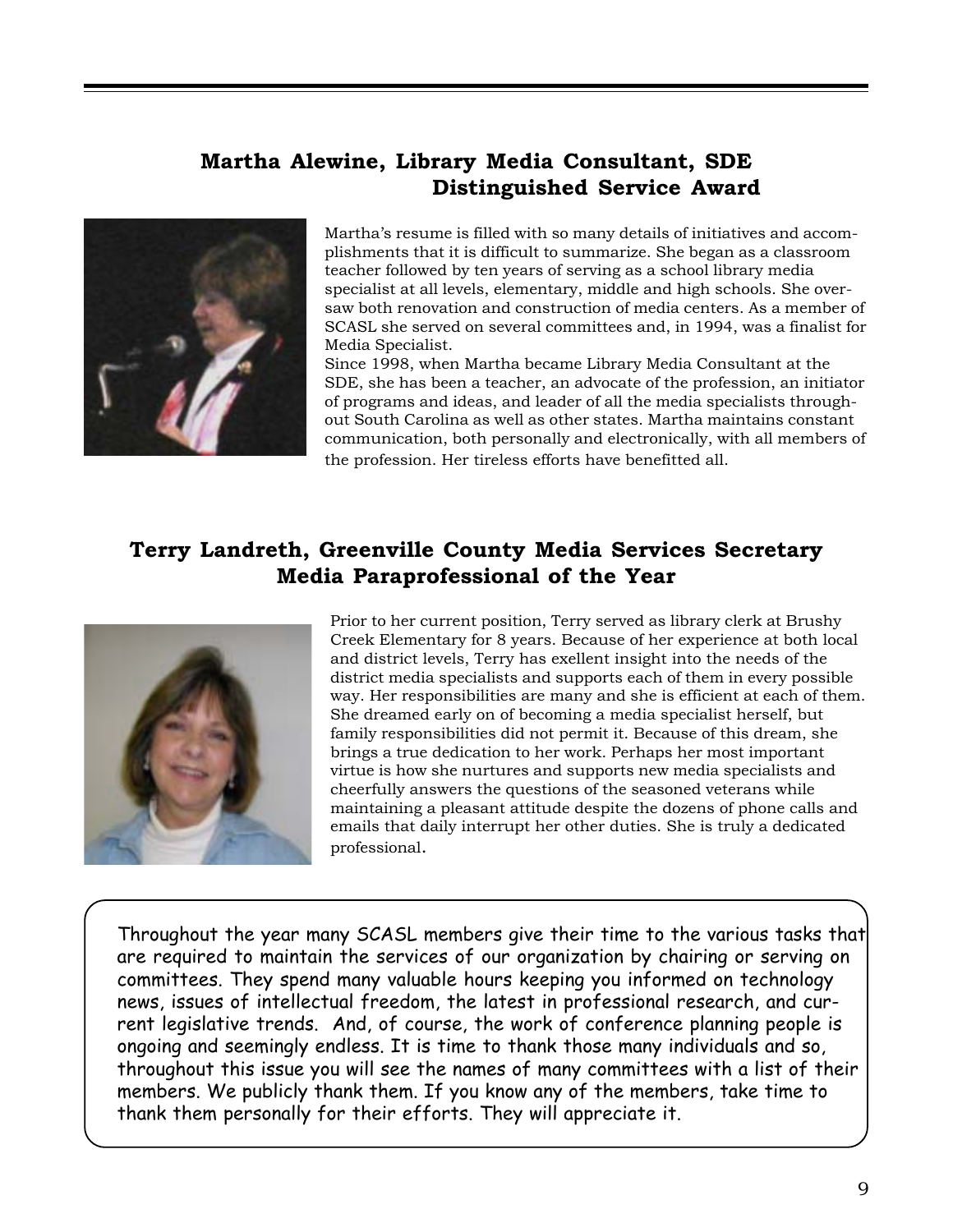### **Martha Alewine, Library Media Consultant, SDE Distinguished Service Award**



Martha's resume is filled with so many details of initiatives and accomplishments that it is difficult to summarize. She began as a classroom teacher followed by ten years of serving as a school library media specialist at all levels, elementary, middle and high schools. She oversaw both renovation and construction of media centers. As a member of SCASL she served on several committees and, in 1994, was a finalist for Media Specialist.

Since 1998, when Martha became Library Media Consultant at the SDE, she has been a teacher, an advocate of the profession, an initiator of programs and ideas, and leader of all the media specialists throughout South Carolina as well as other states. Martha maintains constant communication, both personally and electronically, with all members of the profession. Her tireless efforts have benefitted all.

### **Terry Landreth, Greenville County Media Services Secretary Media Paraprofessional of the Year**



Prior to her current position, Terry served as library clerk at Brushy Creek Elementary for 8 years. Because of her experience at both local and district levels, Terry has exellent insight into the needs of the district media specialists and supports each of them in every possible way. Her responsibilities are many and she is efficient at each of them. She dreamed early on of becoming a media specialist herself, but family responsibilities did not permit it. Because of this dream, she brings a true dedication to her work. Perhaps her most important virtue is how she nurtures and supports new media specialists and cheerfully answers the questions of the seasoned veterans while maintaining a pleasant attitude despite the dozens of phone calls and emails that daily interrupt her other duties. She is truly a dedicated professional.

Throughout the year many SCASL members give their time to the various tasks that are required to maintain the services of our organization by chairing or serving on committees. They spend many valuable hours keeping you informed on technology news, issues of intellectual freedom, the latest in professional research, and current legislative trends. And, of course, the work of conference planning people is ongoing and seemingly endless. It is time to thank those many individuals and so, throughout this issue you will see the names of many committees with a list of their members. We publicly thank them. If you know any of the members, take time to thank them personally for their efforts. They will appreciate it.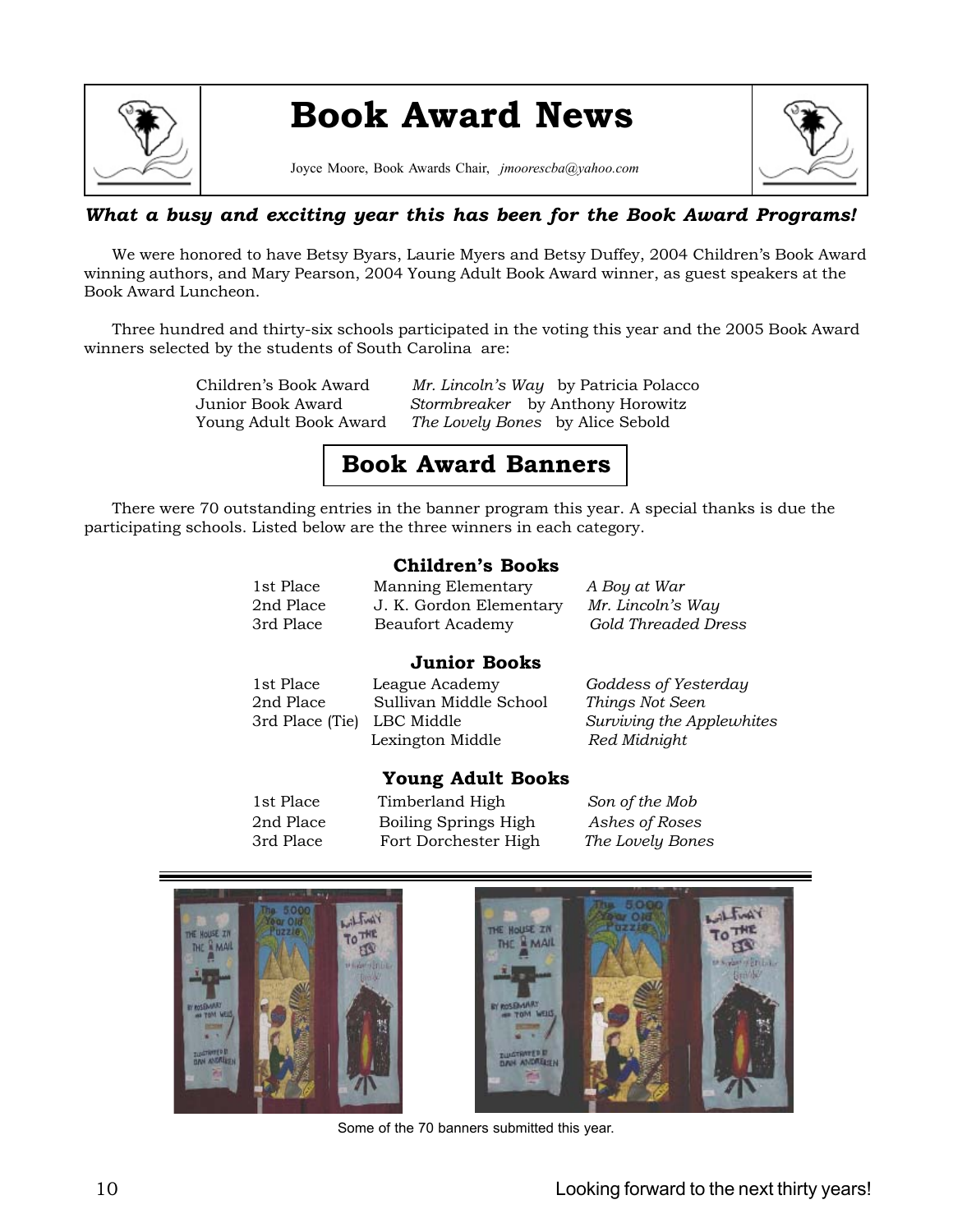

# **Book Award News**

Joyce Moore, Book Awards Chair, *jmoorescba@yahoo.com*



### *What a busy and exciting year this has been for the Book Award Programs!*

We were honored to have Betsy Byars, Laurie Myers and Betsy Duffey, 2004 Children's Book Award winning authors, and Mary Pearson, 2004 Young Adult Book Award winner, as guest speakers at the Book Award Luncheon.

Three hundred and thirty-six schools participated in the voting this year and the 2005 Book Award winners selected by the students of South Carolina are:

Children's Book Award *Mr. Lincoln's Way* by Patricia Polacco Junior Book Award *Stormbreaker* by Anthony Horowitz Young Adult Book Award *The Lovely Bones* by Alice Sebold

## **Book Award Banners**

There were 70 outstanding entries in the banner program this year. A special thanks is due the participating schools. Listed below are the three winners in each category.

### **Children's Books**

| 1st Place | Manning Elementary      | A Boy at War               |
|-----------|-------------------------|----------------------------|
| 2nd Place | J. K. Gordon Elementary | Mr. Lincoln's Way          |
| 3rd Place | Beaufort Academy        | <b>Gold Threaded Dress</b> |

### **Junior Books**

| 1st Place                  | League Academy         | Goddess of Yesterday                      |
|----------------------------|------------------------|-------------------------------------------|
| 2nd Place                  | Sullivan Middle School | Things Not Seen                           |
| 3rd Place (Tie) LBC Middle | Lexington Middle       | Surviving the Applewhites<br>Red Midnight |

### **Young Adult Books**

1st Place Timberland High *Son of the Mob* 2nd Place Boiling Springs High *Ashes of Roses* 3rd Place Fort Dorchester High *The Lovely Bones*



Some of the 70 banners submitted this year.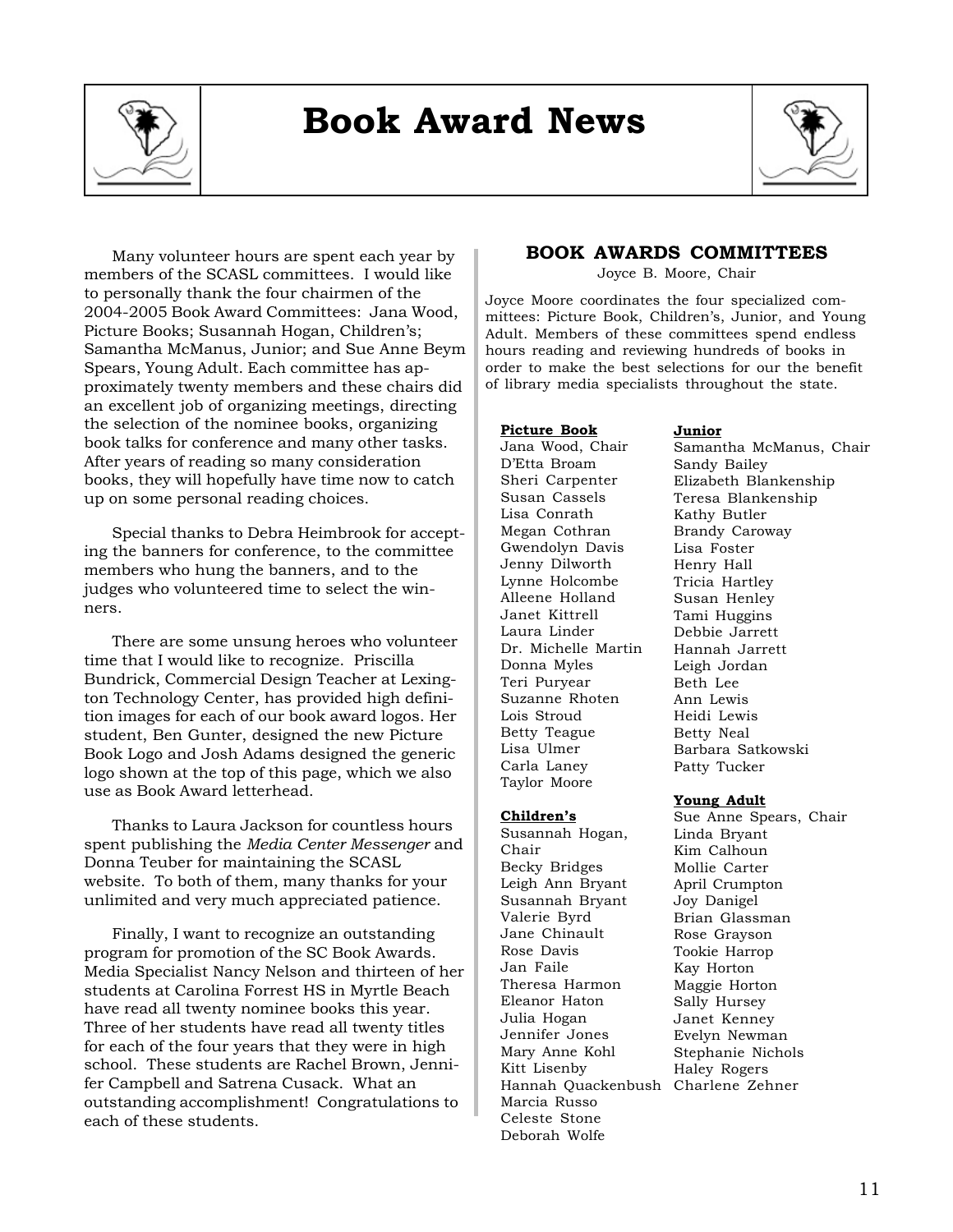

# **Book Award News**



Many volunteer hours are spent each year by members of the SCASL committees. I would like to personally thank the four chairmen of the 2004-2005 Book Award Committees: Jana Wood, Picture Books; Susannah Hogan, Children's; Samantha McManus, Junior; and Sue Anne Beym Spears, Young Adult. Each committee has approximately twenty members and these chairs did an excellent job of organizing meetings, directing the selection of the nominee books, organizing book talks for conference and many other tasks. After years of reading so many consideration books, they will hopefully have time now to catch up on some personal reading choices.

Special thanks to Debra Heimbrook for accepting the banners for conference, to the committee members who hung the banners, and to the judges who volunteered time to select the winners.

There are some unsung heroes who volunteer time that I would like to recognize. Priscilla Bundrick, Commercial Design Teacher at Lexington Technology Center, has provided high definition images for each of our book award logos. Her student, Ben Gunter, designed the new Picture Book Logo and Josh Adams designed the generic logo shown at the top of this page, which we also use as Book Award letterhead.

Thanks to Laura Jackson for countless hours spent publishing the *Media Center Messenger* and Donna Teuber for maintaining the SCASL website. To both of them, many thanks for your unlimited and very much appreciated patience.

Finally, I want to recognize an outstanding program for promotion of the SC Book Awards. Media Specialist Nancy Nelson and thirteen of her students at Carolina Forrest HS in Myrtle Beach have read all twenty nominee books this year. Three of her students have read all twenty titles for each of the four years that they were in high school. These students are Rachel Brown, Jennifer Campbell and Satrena Cusack. What an outstanding accomplishment! Congratulations to each of these students.

### **BOOK AWARDS COMMITTEES**

Joyce B. Moore, Chair

Joyce Moore coordinates the four specialized committees: Picture Book, Children's, Junior, and Young Adult. Members of these committees spend endless hours reading and reviewing hundreds of books in order to make the best selections for our the benefit of library media specialists throughout the state.

### **Picture Book**

Jana Wood, Chair D'Etta Broam Sheri Carpenter Susan Cassels Lisa Conrath Megan Cothran Gwendolyn Davis Jenny Dilworth Lynne Holcombe Alleene Holland Janet Kittrell Laura Linder Dr. Michelle Martin Donna Myles Teri Puryear Suzanne Rhoten Lois Stroud Betty Teague Lisa Ulmer Carla Laney Taylor Moore

**Children's** Susannah Hogan,

Becky Bridges Leigh Ann Bryant Susannah Bryant Valerie Byrd Jane Chinault Rose Davis Jan Faile

Theresa Harmon Eleanor Haton Julia Hogan Jennifer Jones Mary Anne Kohl Kitt Lisenby

Marcia Russo Celeste Stone Deborah Wolfe

Chair

### **Junior**

Samantha McManus, Chair Sandy Bailey Elizabeth Blankenship Teresa Blankenship Kathy Butler Brandy Caroway Lisa Foster Henry Hall Tricia Hartley Susan Henley Tami Huggins Debbie Jarrett Hannah Jarrett Leigh Jordan Beth Lee Ann Lewis Heidi Lewis Betty Neal Barbara Satkowski Patty Tucker

### **Young Adult**

Hannah Quackenbush Charlene Zehner Sue Anne Spears, Chair Linda Bryant Kim Calhoun Mollie Carter April Crumpton Joy Danigel Brian Glassman Rose Grayson Tookie Harrop Kay Horton Maggie Horton Sally Hursey Janet Kenney Evelyn Newman Stephanie Nichols Haley Rogers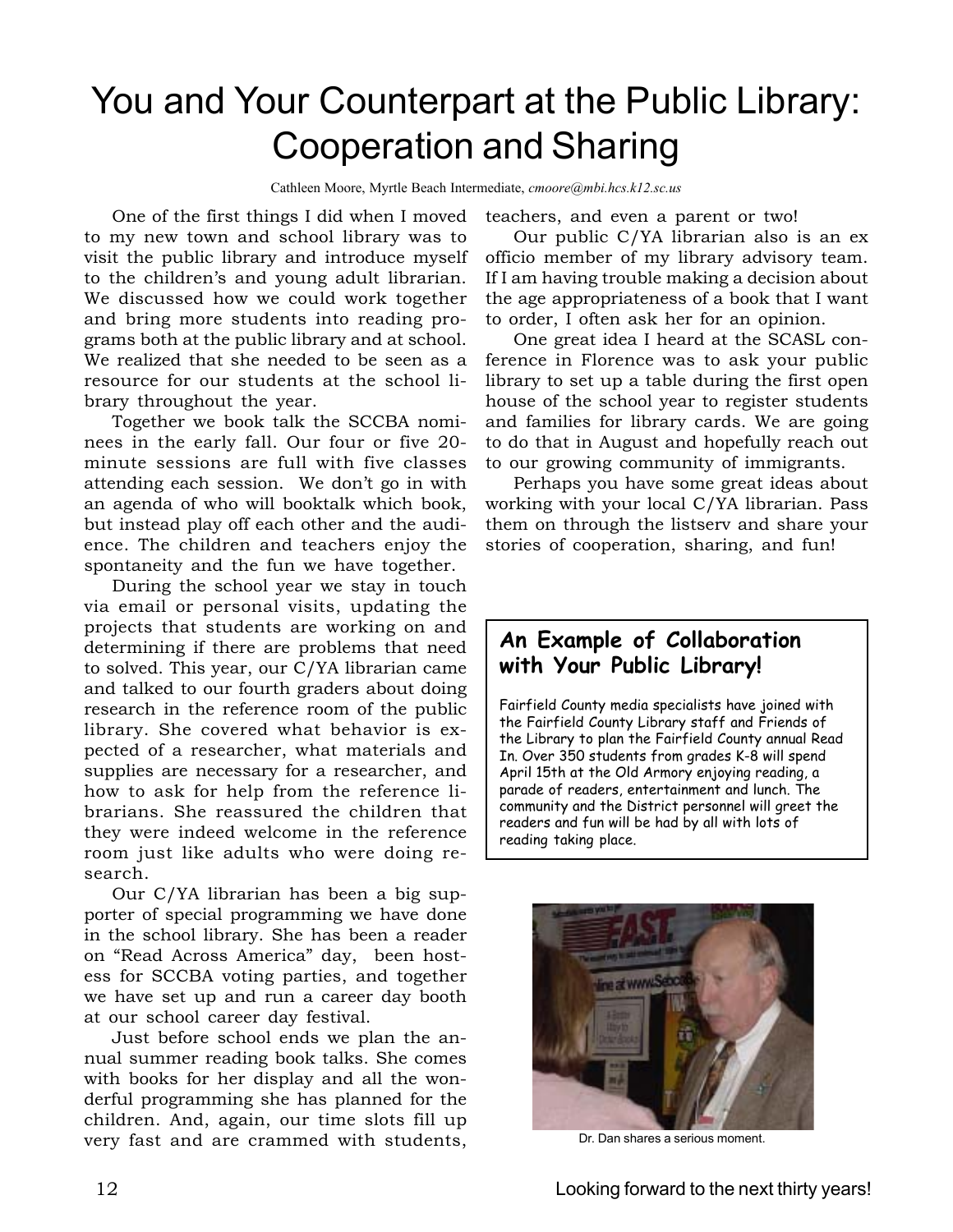# You and Your Counterpart at the Public Library: Cooperation and Sharing

Cathleen Moore, Myrtle Beach Intermediate, *cmoore@mbi.hcs.k12.sc.us*

One of the first things I did when I moved to my new town and school library was to visit the public library and introduce myself to the children's and young adult librarian. We discussed how we could work together and bring more students into reading programs both at the public library and at school. We realized that she needed to be seen as a resource for our students at the school library throughout the year.

Together we book talk the SCCBA nominees in the early fall. Our four or five 20 minute sessions are full with five classes attending each session. We don't go in with an agenda of who will booktalk which book, but instead play off each other and the audience. The children and teachers enjoy the spontaneity and the fun we have together.

During the school year we stay in touch via email or personal visits, updating the projects that students are working on and determining if there are problems that need to solved. This year, our C/YA librarian came and talked to our fourth graders about doing research in the reference room of the public library. She covered what behavior is expected of a researcher, what materials and supplies are necessary for a researcher, and how to ask for help from the reference librarians. She reassured the children that they were indeed welcome in the reference room just like adults who were doing research.

Our C/YA librarian has been a big supporter of special programming we have done in the school library. She has been a reader on "Read Across America" day, been hostess for SCCBA voting parties, and together we have set up and run a career day booth at our school career day festival.

Just before school ends we plan the annual summer reading book talks. She comes with books for her display and all the wonderful programming she has planned for the children. And, again, our time slots fill up very fast and are crammed with students, teachers, and even a parent or two!

Our public C/YA librarian also is an ex officio member of my library advisory team. If I am having trouble making a decision about the age appropriateness of a book that I want to order, I often ask her for an opinion.

One great idea I heard at the SCASL conference in Florence was to ask your public library to set up a table during the first open house of the school year to register students and families for library cards. We are going to do that in August and hopefully reach out to our growing community of immigrants.

Perhaps you have some great ideas about working with your local C/YA librarian. Pass them on through the listserv and share your stories of cooperation, sharing, and fun!

### **An Example of Collaboration with Your Public Library!**

Fairfield County media specialists have joined with the Fairfield County Library staff and Friends of the Library to plan the Fairfield County annual Read In. Over 350 students from grades K-8 will spend April 15th at the Old Armory enjoying reading, a parade of readers, entertainment and lunch. The community and the District personnel will greet the readers and fun will be had by all with lots of reading taking place.



Dr. Dan shares a serious moment.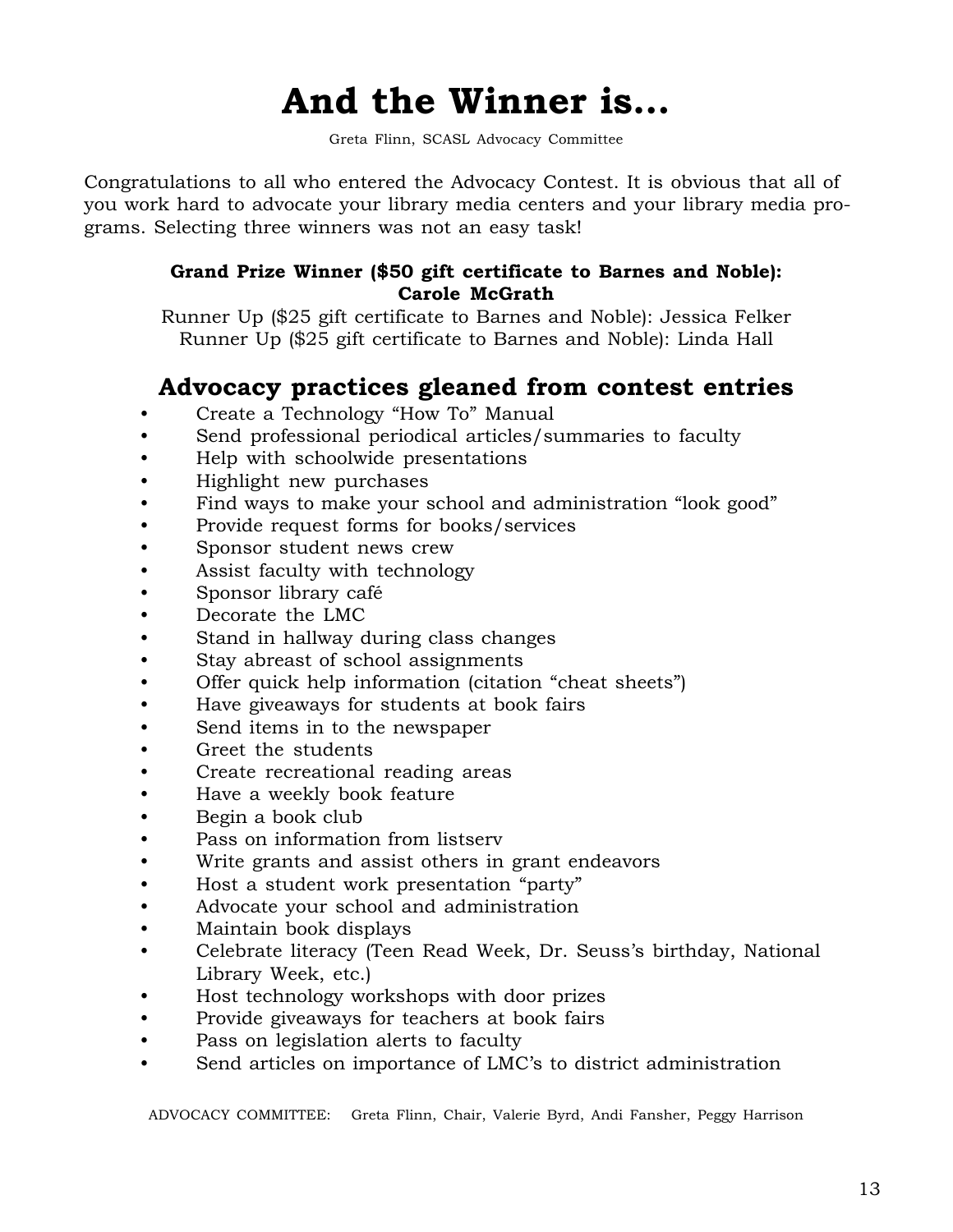# **And the Winner is…**

Greta Flinn, SCASL Advocacy Committee

Congratulations to all who entered the Advocacy Contest. It is obvious that all of you work hard to advocate your library media centers and your library media programs. Selecting three winners was not an easy task!

### **Grand Prize Winner (\$50 gift certificate to Barnes and Noble): Carole McGrath**

Runner Up (\$25 gift certificate to Barnes and Noble): Jessica Felker Runner Up (\$25 gift certificate to Barnes and Noble): Linda Hall

## **Advocacy practices gleaned from contest entries**

- Create a Technology "How To" Manual
- Send professional periodical articles/summaries to faculty
- Help with schoolwide presentations
- Highlight new purchases
- Find ways to make your school and administration "look good"
- Provide request forms for books/services
- Sponsor student news crew
- Assist faculty with technology
- Sponsor library café
- Decorate the LMC
- Stand in hallway during class changes
- Stay abreast of school assignments
- Offer quick help information (citation "cheat sheets")
- Have giveaways for students at book fairs
- Send items in to the newspaper
- Greet the students
- Create recreational reading areas
- Have a weekly book feature
- Begin a book club
- Pass on information from listserv
- Write grants and assist others in grant endeavors
- Host a student work presentation "party"
- Advocate your school and administration
- Maintain book displays
- Celebrate literacy (Teen Read Week, Dr. Seuss's birthday, National Library Week, etc.)
- Host technology workshops with door prizes
- Provide giveaways for teachers at book fairs
- Pass on legislation alerts to faculty
- Send articles on importance of LMC's to district administration

ADVOCACY COMMITTEE: Greta Flinn, Chair, Valerie Byrd, Andi Fansher, Peggy Harrison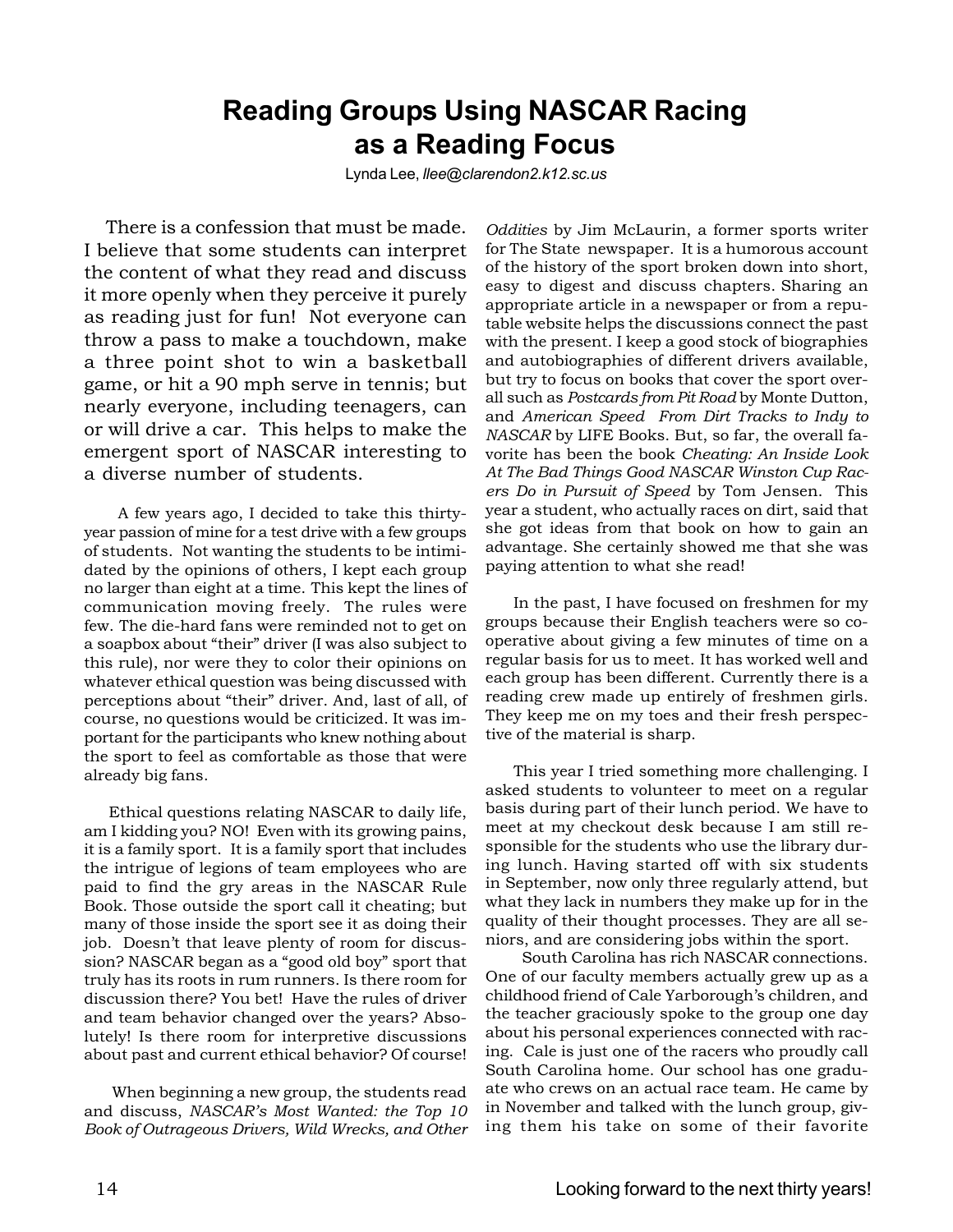## **Reading Groups Using NASCAR Racing as a Reading Focus**

Lynda Lee, *llee@clarendon2.k12.sc.us*

 There is a confession that must be made. I believe that some students can interpret the content of what they read and discuss it more openly when they perceive it purely as reading just for fun! Not everyone can throw a pass to make a touchdown, make a three point shot to win a basketball game, or hit a 90 mph serve in tennis; but nearly everyone, including teenagers, can or will drive a car. This helps to make the emergent sport of NASCAR interesting to a diverse number of students.

 A few years ago, I decided to take this thirtyyear passion of mine for a test drive with a few groups of students. Not wanting the students to be intimidated by the opinions of others, I kept each group no larger than eight at a time. This kept the lines of communication moving freely. The rules were few. The die-hard fans were reminded not to get on a soapbox about "their" driver (I was also subject to this rule), nor were they to color their opinions on whatever ethical question was being discussed with perceptions about "their" driver. And, last of all, of course, no questions would be criticized. It was important for the participants who knew nothing about the sport to feel as comfortable as those that were already big fans.

 Ethical questions relating NASCAR to daily life, am I kidding you? NO! Even with its growing pains, it is a family sport. It is a family sport that includes the intrigue of legions of team employees who are paid to find the gry areas in the NASCAR Rule Book. Those outside the sport call it cheating; but many of those inside the sport see it as doing their job. Doesn't that leave plenty of room for discussion? NASCAR began as a "good old boy" sport that truly has its roots in rum runners. Is there room for discussion there? You bet! Have the rules of driver and team behavior changed over the years? Absolutely! Is there room for interpretive discussions about past and current ethical behavior? Of course!

When beginning a new group, the students read and discuss, *NASCAR's Most Wanted: the Top 10 Book of Outrageous Drivers, Wild Wrecks, and Other*

*Oddities* by Jim McLaurin, a former sports writer for The State newspaper. It is a humorous account of the history of the sport broken down into short, easy to digest and discuss chapters. Sharing an appropriate article in a newspaper or from a reputable website helps the discussions connect the past with the present. I keep a good stock of biographies and autobiographies of different drivers available, but try to focus on books that cover the sport overall such as *Postcards from Pit Road* by Monte Dutton, and *American Speed From Dirt Tracks to Indy to NASCAR* by LIFE Books. But, so far, the overall favorite has been the book *Cheating: An Inside Look At The Bad Things Good NASCAR Winston Cup Racers Do in Pursuit of Speed* by Tom Jensen. This year a student, who actually races on dirt, said that she got ideas from that book on how to gain an advantage. She certainly showed me that she was paying attention to what she read!

In the past, I have focused on freshmen for my groups because their English teachers were so cooperative about giving a few minutes of time on a regular basis for us to meet. It has worked well and each group has been different. Currently there is a reading crew made up entirely of freshmen girls. They keep me on my toes and their fresh perspective of the material is sharp.

This year I tried something more challenging. I asked students to volunteer to meet on a regular basis during part of their lunch period. We have to meet at my checkout desk because I am still responsible for the students who use the library during lunch. Having started off with six students in September, now only three regularly attend, but what they lack in numbers they make up for in the quality of their thought processes. They are all seniors, and are considering jobs within the sport.

 South Carolina has rich NASCAR connections. One of our faculty members actually grew up as a childhood friend of Cale Yarborough's children, and the teacher graciously spoke to the group one day about his personal experiences connected with racing. Cale is just one of the racers who proudly call South Carolina home. Our school has one graduate who crews on an actual race team. He came by in November and talked with the lunch group, giving them his take on some of their favorite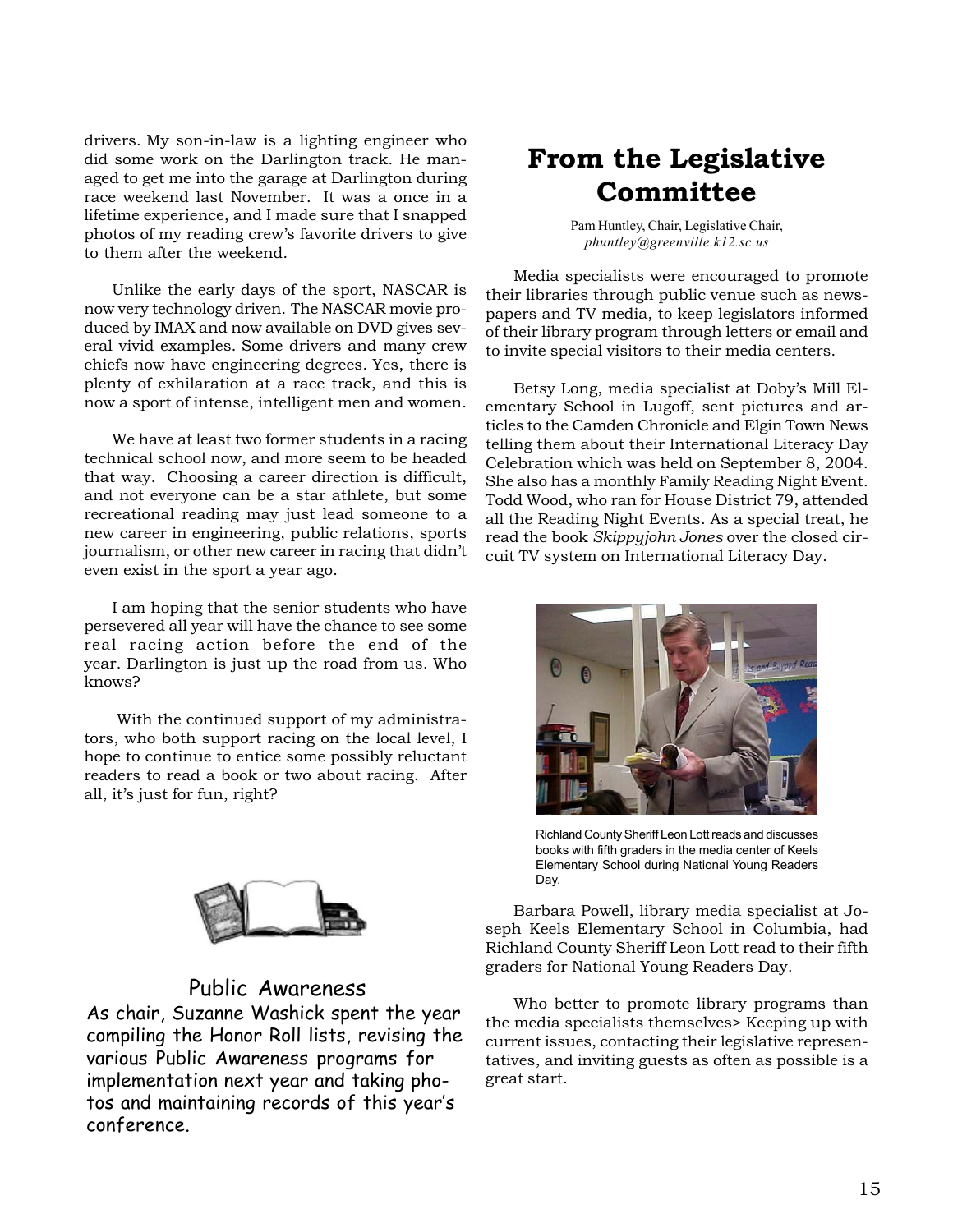drivers. My son-in-law is a lighting engineer who did some work on the Darlington track. He managed to get me into the garage at Darlington during race weekend last November. It was a once in a lifetime experience, and I made sure that I snapped photos of my reading crew's favorite drivers to give to them after the weekend.

Unlike the early days of the sport, NASCAR is now very technology driven. The NASCAR movie produced by IMAX and now available on DVD gives several vivid examples. Some drivers and many crew chiefs now have engineering degrees. Yes, there is plenty of exhilaration at a race track, and this is now a sport of intense, intelligent men and women.

We have at least two former students in a racing technical school now, and more seem to be headed that way. Choosing a career direction is difficult, and not everyone can be a star athlete, but some recreational reading may just lead someone to a new career in engineering, public relations, sports journalism, or other new career in racing that didn't even exist in the sport a year ago.

I am hoping that the senior students who have persevered all year will have the chance to see some real racing action before the end of the year. Darlington is just up the road from us. Who knows?

 With the continued support of my administrators, who both support racing on the local level, I hope to continue to entice some possibly reluctant readers to read a book or two about racing. After all, it's just for fun, right?



### Public Awareness

As chair, Suzanne Washick spent the year compiling the Honor Roll lists, revising the various Public Awareness programs for implementation next year and taking photos and maintaining records of this year's conference.

# **From the Legislative Committee**

Pam Huntley, Chair, Legislative Chair, *phuntley@greenville.k12.sc.us*

Media specialists were encouraged to promote their libraries through public venue such as newspapers and TV media, to keep legislators informed of their library program through letters or email and to invite special visitors to their media centers.

Betsy Long, media specialist at Doby's Mill Elementary School in Lugoff, sent pictures and articles to the Camden Chronicle and Elgin Town News telling them about their International Literacy Day Celebration which was held on September 8, 2004. She also has a monthly Family Reading Night Event. Todd Wood, who ran for House District 79, attended all the Reading Night Events. As a special treat, he read the book *Skippyjohn Jones* over the closed circuit TV system on International Literacy Day.



Richland County Sheriff Leon Lott reads and discusses books with fifth graders in the media center of Keels Elementary School during National Young Readers Day.

Barbara Powell, library media specialist at Joseph Keels Elementary School in Columbia, had Richland County Sheriff Leon Lott read to their fifth graders for National Young Readers Day.

Who better to promote library programs than the media specialists themselves> Keeping up with current issues, contacting their legislative representatives, and inviting guests as often as possible is a great start.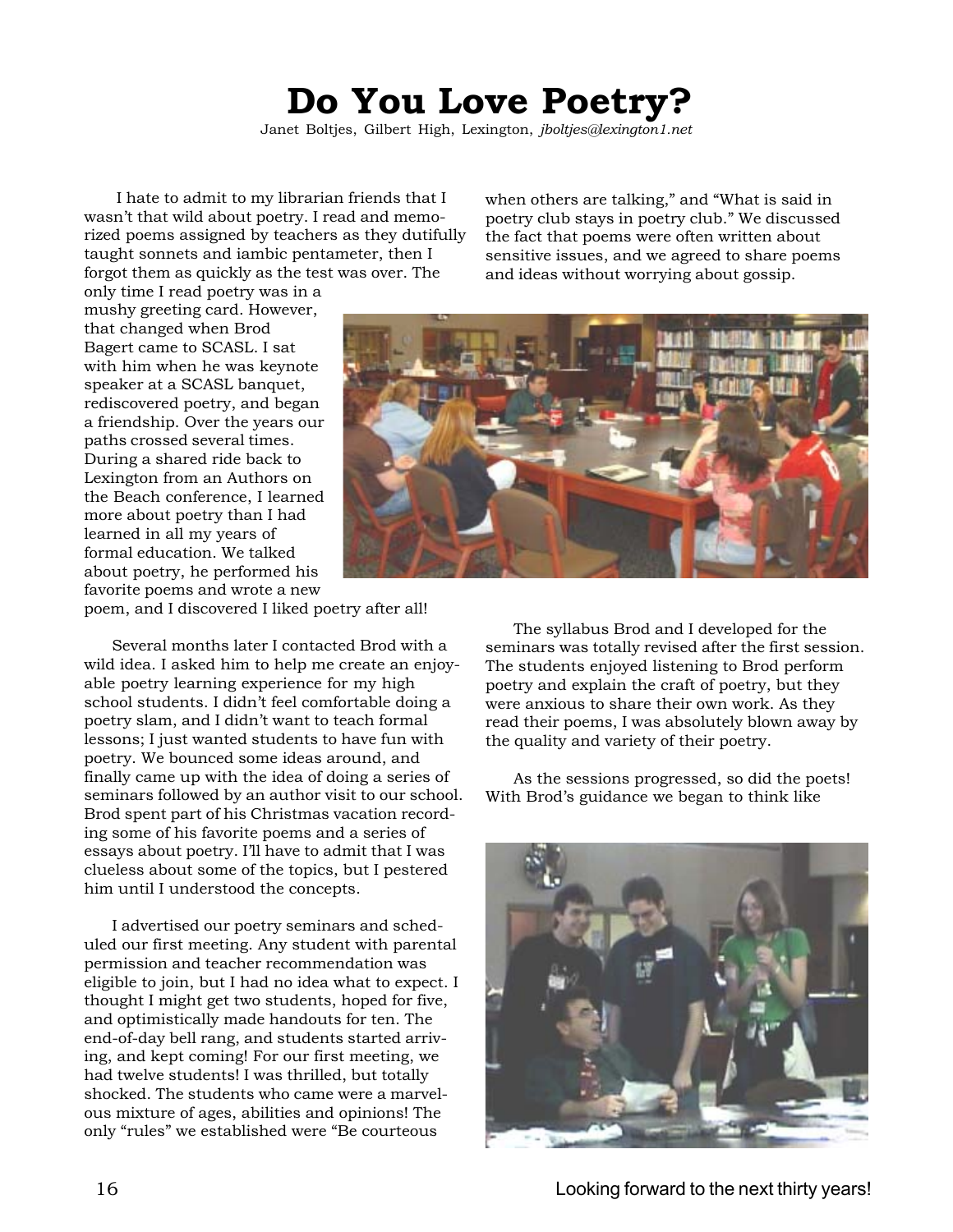# **Do You Love Poetry?**

Janet Boltjes, Gilbert High, Lexington, *jboltjes@lexington1.net*

 I hate to admit to my librarian friends that I wasn't that wild about poetry. I read and memorized poems assigned by teachers as they dutifully taught sonnets and iambic pentameter, then I forgot them as quickly as the test was over. The

only time I read poetry was in a mushy greeting card. However, that changed when Brod Bagert came to SCASL. I sat with him when he was keynote speaker at a SCASL banquet, rediscovered poetry, and began a friendship. Over the years our paths crossed several times. During a shared ride back to Lexington from an Authors on the Beach conference, I learned more about poetry than I had learned in all my years of formal education. We talked about poetry, he performed his favorite poems and wrote a new

when others are talking," and "What is said in poetry club stays in poetry club." We discussed the fact that poems were often written about sensitive issues, and we agreed to share poems and ideas without worrying about gossip.



poem, and I discovered I liked poetry after all!

Several months later I contacted Brod with a wild idea. I asked him to help me create an enjoyable poetry learning experience for my high school students. I didn't feel comfortable doing a poetry slam, and I didn't want to teach formal lessons; I just wanted students to have fun with poetry. We bounced some ideas around, and finally came up with the idea of doing a series of seminars followed by an author visit to our school. Brod spent part of his Christmas vacation recording some of his favorite poems and a series of essays about poetry. I'll have to admit that I was clueless about some of the topics, but I pestered him until I understood the concepts.

I advertised our poetry seminars and scheduled our first meeting. Any student with parental permission and teacher recommendation was eligible to join, but I had no idea what to expect. I thought I might get two students, hoped for five, and optimistically made handouts for ten. The end-of-day bell rang, and students started arriving, and kept coming! For our first meeting, we had twelve students! I was thrilled, but totally shocked. The students who came were a marvelous mixture of ages, abilities and opinions! The only "rules" we established were "Be courteous

The syllabus Brod and I developed for the seminars was totally revised after the first session. The students enjoyed listening to Brod perform poetry and explain the craft of poetry, but they were anxious to share their own work. As they read their poems, I was absolutely blown away by the quality and variety of their poetry.

As the sessions progressed, so did the poets! With Brod's guidance we began to think like

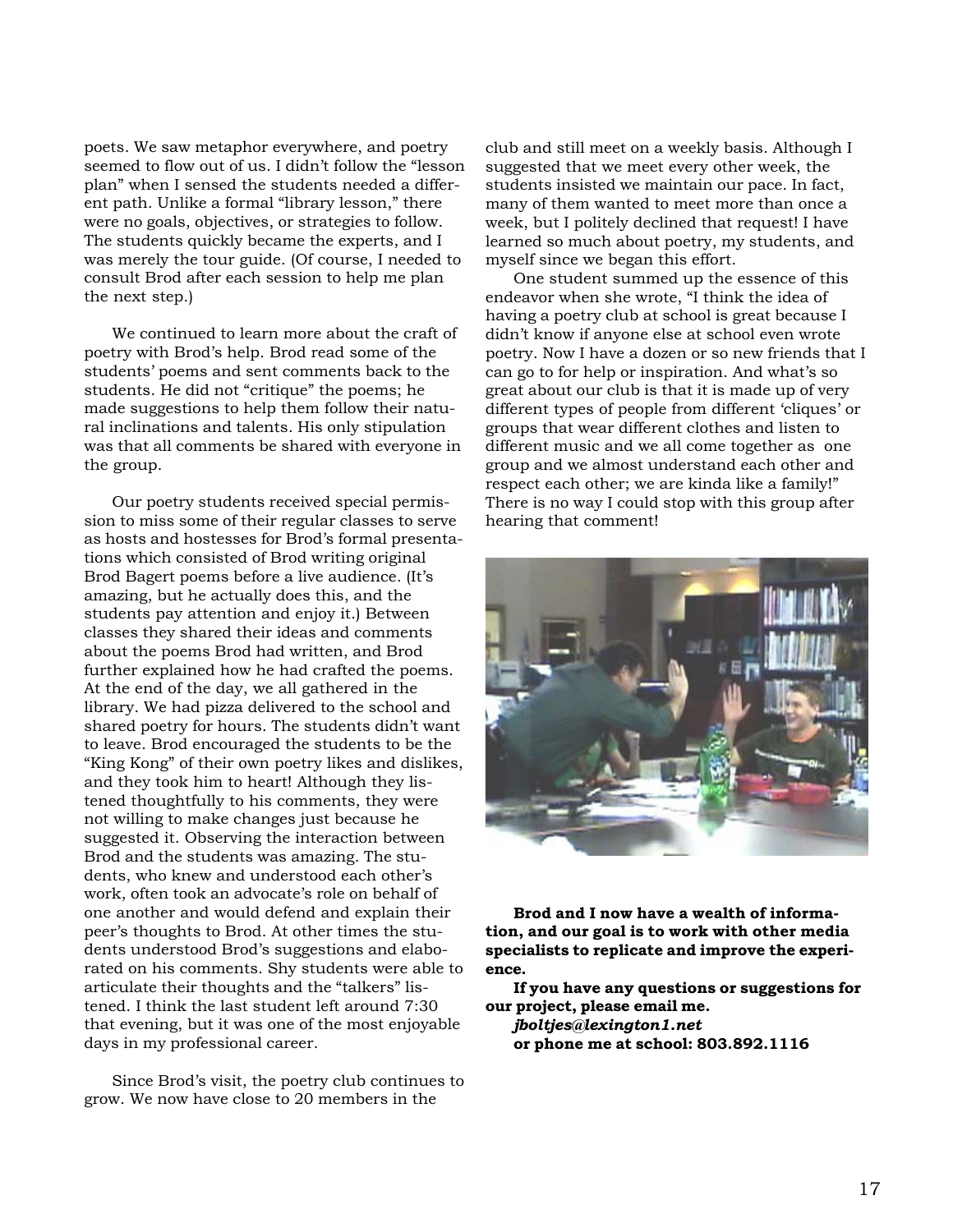poets. We saw metaphor everywhere, and poetry seemed to flow out of us. I didn't follow the "lesson plan" when I sensed the students needed a different path. Unlike a formal "library lesson," there were no goals, objectives, or strategies to follow. The students quickly became the experts, and I was merely the tour guide. (Of course, I needed to consult Brod after each session to help me plan the next step.)

We continued to learn more about the craft of poetry with Brod's help. Brod read some of the students' poems and sent comments back to the students. He did not "critique" the poems; he made suggestions to help them follow their natural inclinations and talents. His only stipulation was that all comments be shared with everyone in the group.

Our poetry students received special permission to miss some of their regular classes to serve as hosts and hostesses for Brod's formal presentations which consisted of Brod writing original Brod Bagert poems before a live audience. (It's amazing, but he actually does this, and the students pay attention and enjoy it.) Between classes they shared their ideas and comments about the poems Brod had written, and Brod further explained how he had crafted the poems. At the end of the day, we all gathered in the library. We had pizza delivered to the school and shared poetry for hours. The students didn't want to leave. Brod encouraged the students to be the "King Kong" of their own poetry likes and dislikes, and they took him to heart! Although they listened thoughtfully to his comments, they were not willing to make changes just because he suggested it. Observing the interaction between Brod and the students was amazing. The students, who knew and understood each other's work, often took an advocate's role on behalf of one another and would defend and explain their peer's thoughts to Brod. At other times the students understood Brod's suggestions and elaborated on his comments. Shy students were able to articulate their thoughts and the "talkers" listened. I think the last student left around 7:30 that evening, but it was one of the most enjoyable days in my professional career.

Since Brod's visit, the poetry club continues to grow. We now have close to 20 members in the

club and still meet on a weekly basis. Although I suggested that we meet every other week, the students insisted we maintain our pace. In fact, many of them wanted to meet more than once a week, but I politely declined that request! I have learned so much about poetry, my students, and myself since we began this effort.

One student summed up the essence of this endeavor when she wrote, "I think the idea of having a poetry club at school is great because I didn't know if anyone else at school even wrote poetry. Now I have a dozen or so new friends that I can go to for help or inspiration. And what's so great about our club is that it is made up of very different types of people from different 'cliques' or groups that wear different clothes and listen to different music and we all come together as one group and we almost understand each other and respect each other; we are kinda like a family!" There is no way I could stop with this group after hearing that comment!



**Brod and I now have a wealth of information, and our goal is to work with other media specialists to replicate and improve the experience.**

**If you have any questions or suggestions for our project, please email me.**

*jboltjes@lexington1.net* **or phone me at school: 803.892.1116**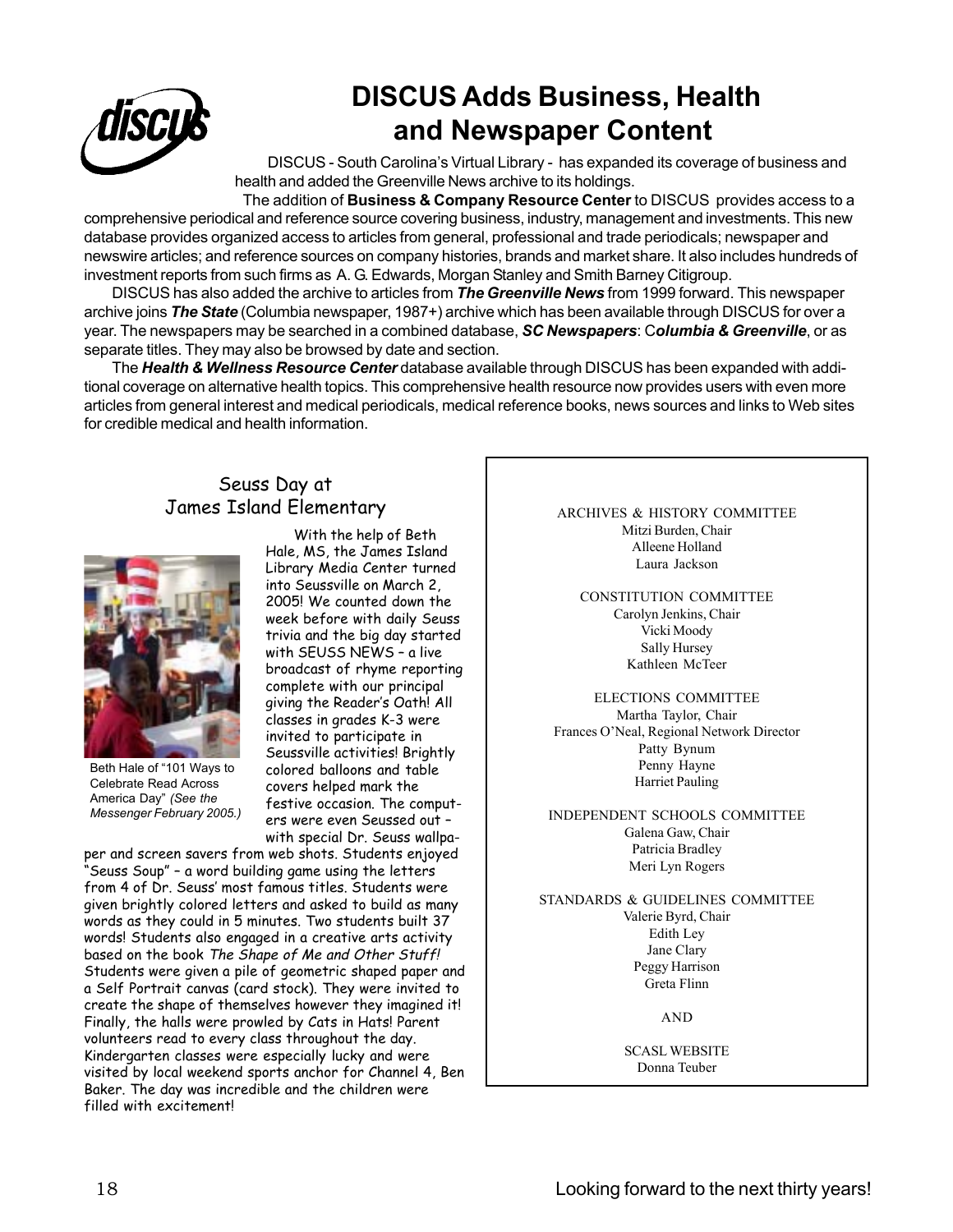

# **DISCUS Adds Business, Health and Newspaper Content**

DISCUS - South Carolina's Virtual Library - has expanded its coverage of business and health and added the Greenville News archive to its holdings.

The addition of **Business & Company Resource Center** to DISCUS provides access to a comprehensive periodical and reference source covering business, industry, management and investments. This new database provides organized access to articles from general, professional and trade periodicals; newspaper and newswire articles; and reference sources on company histories, brands and market share. It also includes hundreds of investment reports from such firms as A. G. Edwards, Morgan Stanley and Smith Barney Citigroup.

DISCUS has also added the archive to articles from *The Greenville News* from 1999 forward. This newspaper archive joins *The State* (Columbia newspaper, 1987+) archive which has been available through DISCUS for over a year. The newspapers may be searched in a combined database, *SC Newspapers*: C*olumbia & Greenville*, or as separate titles. They may also be browsed by date and section.

The *Health & Wellness Resource Center* database available through DISCUS has been expanded with additional coverage on alternative health topics. This comprehensive health resource now provides users with even more articles from general interest and medical periodicals, medical reference books, news sources and links to Web sites for credible medical and health information.

### Seuss Day at James Island Elementary



Beth Hale of "101 Ways to Celebrate Read Across America Day" *(See the Messenger February 2005.)*

With the help of Beth Hale, MS, the James Island Library Media Center turned into Seussville on March 2, 2005! We counted down the week before with daily Seuss trivia and the big day started with SEUSS NEWS – a live broadcast of rhyme reporting complete with our principal giving the Reader's Oath! All classes in grades K-3 were invited to participate in Seussville activities! Brightly colored balloons and table covers helped mark the festive occasion. The computers were even Seussed out – with special Dr. Seuss wallpa-

per and screen savers from web shots. Students enjoyed "Seuss Soup" – a word building game using the letters from 4 of Dr. Seuss' most famous titles. Students were given brightly colored letters and asked to build as many words as they could in 5 minutes. Two students built 37 words! Students also engaged in a creative arts activity based on the book The Shape of Me and Other Stuff! Students were given a pile of geometric shaped paper and a Self Portrait canvas (card stock). They were invited to create the shape of themselves however they imagined it! Finally, the halls were prowled by Cats in Hats! Parent volunteers read to every class throughout the day. Kindergarten classes were especially lucky and were visited by local weekend sports anchor for Channel 4, Ben Baker. The day was incredible and the children were filled with excitement!

ARCHIVES & HISTORY COMMITTEE Mitzi Burden, Chair Alleene Holland Laura Jackson

CONSTITUTION COMMITTEE Carolyn Jenkins, Chair Vicki Moody Sally Hursey Kathleen McTeer

ELECTIONS COMMITTEE Martha Taylor, Chair Frances O'Neal, Regional Network Director Patty Bynum Penny Hayne Harriet Pauling

INDEPENDENT SCHOOLS COMMITTEE Galena Gaw, Chair Patricia Bradley Meri Lyn Rogers

STANDARDS & GUIDELINES COMMITTEE Valerie Byrd, Chair Edith Ley Jane Clary Peggy Harrison Greta Flinn

AND

SCASL WEBSITE Donna Teuber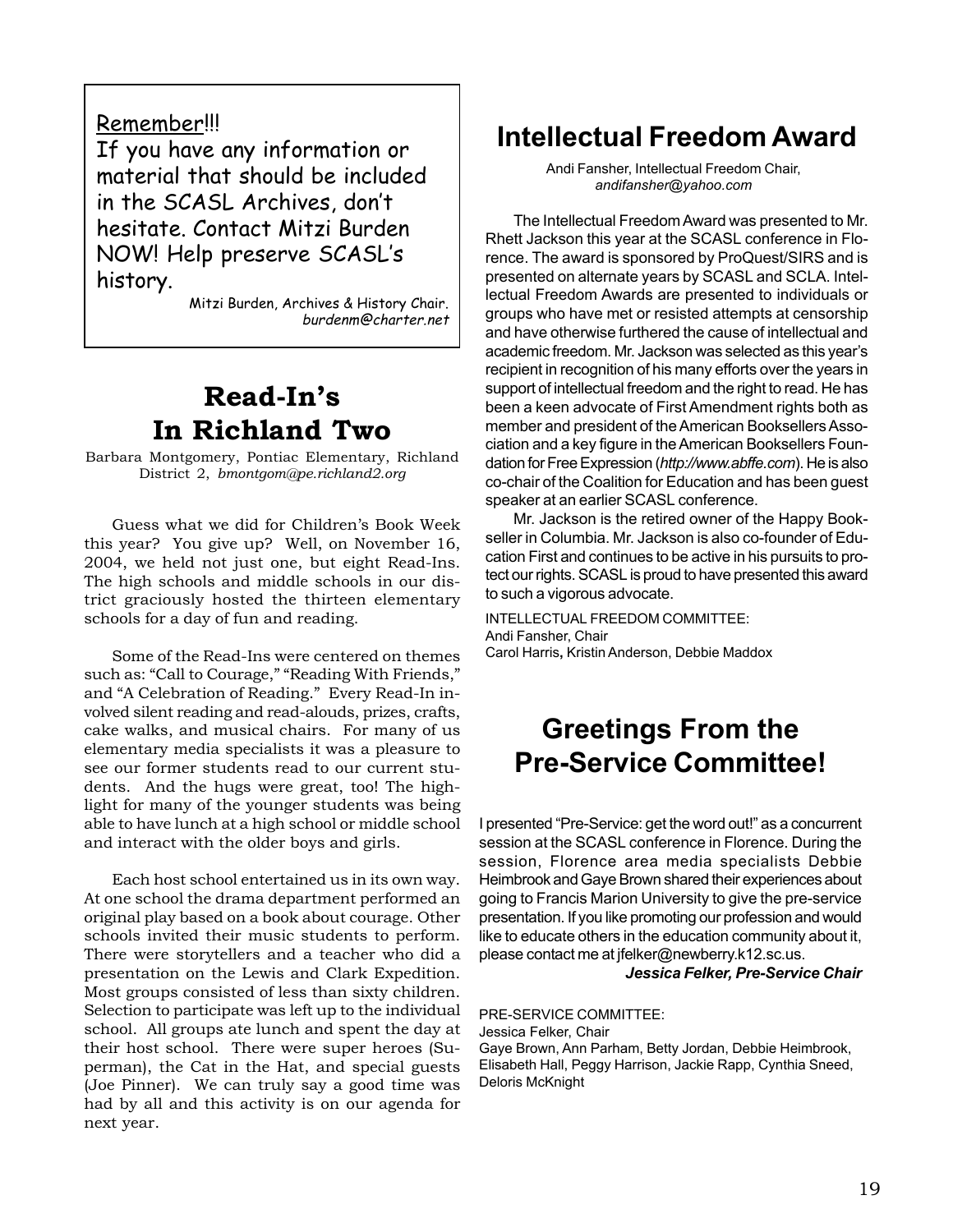### Remember!!!

If you have any information or material that should be included in the SCASL Archives, don't hesitate. Contact Mitzi Burden NOW! Help preserve SCASL's history.

> Mitzi Burden, Archives & History Chair. burdenm@charter.net

## **Read-In's In Richland Two**

Barbara Montgomery, Pontiac Elementary, Richland District 2, *bmontgom@pe.richland2.org*

Guess what we did for Children's Book Week this year? You give up? Well, on November 16, 2004, we held not just one, but eight Read-Ins. The high schools and middle schools in our district graciously hosted the thirteen elementary schools for a day of fun and reading.

Some of the Read-Ins were centered on themes such as: "Call to Courage," "Reading With Friends," and "A Celebration of Reading." Every Read-In involved silent reading and read-alouds, prizes, crafts, cake walks, and musical chairs. For many of us elementary media specialists it was a pleasure to see our former students read to our current students. And the hugs were great, too! The highlight for many of the younger students was being able to have lunch at a high school or middle school and interact with the older boys and girls.

Each host school entertained us in its own way. At one school the drama department performed an original play based on a book about courage. Other schools invited their music students to perform. There were storytellers and a teacher who did a presentation on the Lewis and Clark Expedition. Most groups consisted of less than sixty children. Selection to participate was left up to the individual school. All groups ate lunch and spent the day at their host school. There were super heroes (Superman), the Cat in the Hat, and special guests (Joe Pinner). We can truly say a good time was had by all and this activity is on our agenda for next year.

## **Intellectual Freedom Award**

Andi Fansher, Intellectual Freedom Chair, *andifansher@yahoo.com*

The Intellectual Freedom Award was presented to Mr. Rhett Jackson this year at the SCASL conference in Florence. The award is sponsored by ProQuest/SIRS and is presented on alternate years by SCASL and SCLA. Intellectual Freedom Awards are presented to individuals or groups who have met or resisted attempts at censorship and have otherwise furthered the cause of intellectual and academic freedom. Mr. Jackson was selected as this year's recipient in recognition of his many efforts over the years in support of intellectual freedom and the right to read. He has been a keen advocate of First Amendment rights both as member and president of the American Booksellers Association and a key figure in the American Booksellers Foundation for Free Expression (*http://www.abffe.com*). He is also co-chair of the Coalition for Education and has been guest speaker at an earlier SCASL conference.

Mr. Jackson is the retired owner of the Happy Bookseller in Columbia. Mr. Jackson is also co-founder of Education First and continues to be active in his pursuits to protect our rights. SCASL is proud to have presented this award to such a vigorous advocate.

INTELLECTUAL FREEDOM COMMITTEE: Andi Fansher, Chair Carol Harris**,** Kristin Anderson, Debbie Maddox

## **Greetings From the Pre-Service Committee!**

I presented "Pre-Service: get the word out!" as a concurrent session at the SCASL conference in Florence. During the session, Florence area media specialists Debbie Heimbrook and Gaye Brown shared their experiences about going to Francis Marion University to give the pre-service presentation. If you like promoting our profession and would like to educate others in the education community about it, please contact me at jfelker@newberry.k12.sc.us.

*Jessica Felker, Pre-Service Chair*

#### PRE-SERVICE COMMITTEE:

Jessica Felker, Chair Gaye Brown, Ann Parham, Betty Jordan, Debbie Heimbrook, Elisabeth Hall, Peggy Harrison, Jackie Rapp, Cynthia Sneed, Deloris McKnight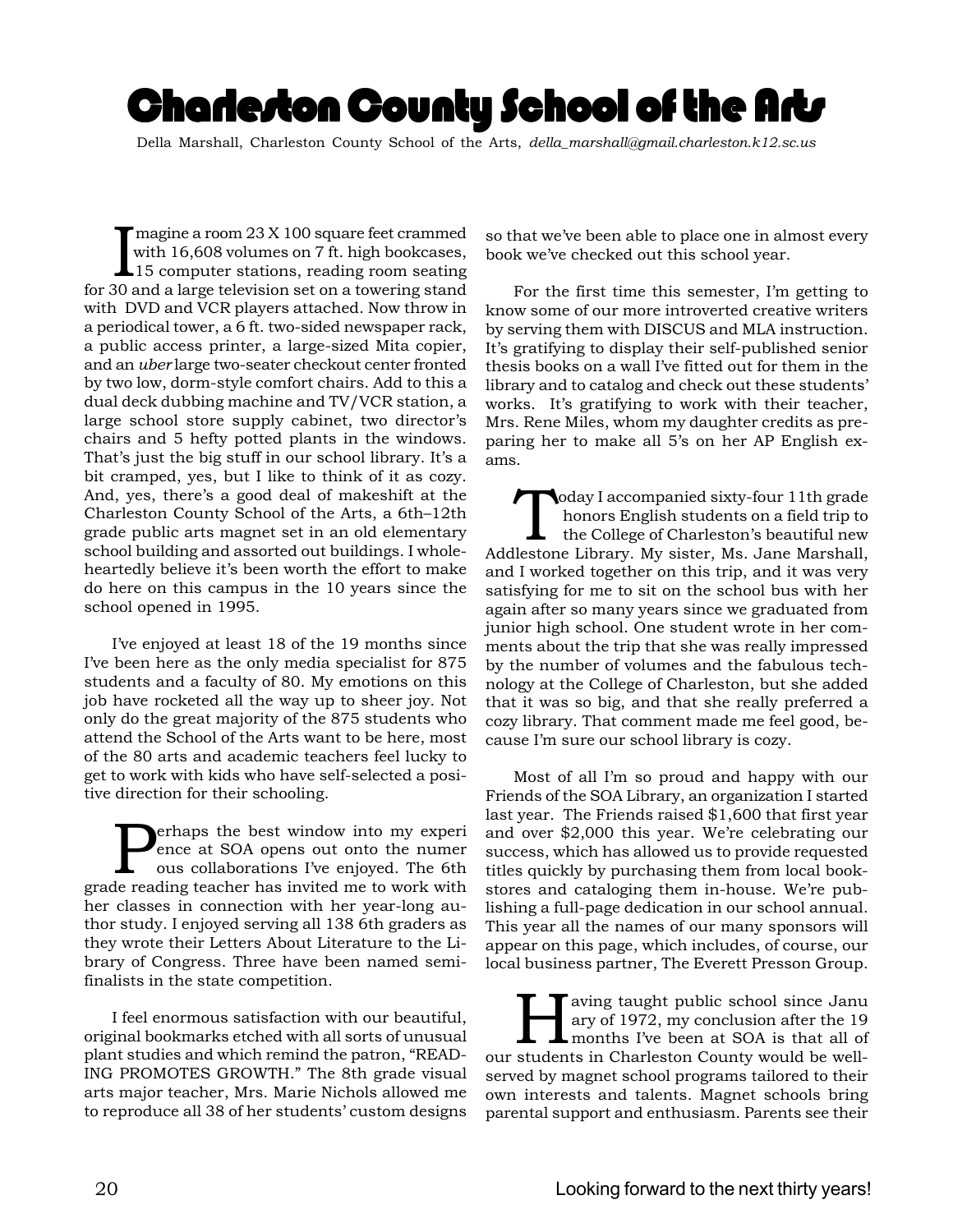# Charle*r*ton County School of the Art*s*

Della Marshall, Charleston County School of the Arts, *della\_marshall@gmail.charleston.k12.sc.us*

Imagine a room 23 X 100 square feet crammed<br>with 16,608 volumes on 7 ft. high bookcases,<br>15 computer stations, reading room seating<br>for 30 and a large television set on a towering stand magine a room 23 X 100 square feet crammed with 16,608 volumes on 7 ft. high bookcases, 15 computer stations, reading room seating with DVD and VCR players attached. Now throw in a periodical tower, a 6 ft. two-sided newspaper rack, a public access printer, a large-sized Mita copier, and an *uber* large two-seater checkout center fronted by two low, dorm-style comfort chairs. Add to this a dual deck dubbing machine and TV/VCR station, a large school store supply cabinet, two director's chairs and 5 hefty potted plants in the windows. That's just the big stuff in our school library. It's a bit cramped, yes, but I like to think of it as cozy. And, yes, there's a good deal of makeshift at the Charleston County School of the Arts, a 6th–12th grade public arts magnet set in an old elementary school building and assorted out buildings. I wholeheartedly believe it's been worth the effort to make do here on this campus in the 10 years since the school opened in 1995.

I've enjoyed at least 18 of the 19 months since I've been here as the only media specialist for 875 students and a faculty of 80. My emotions on this job have rocketed all the way up to sheer joy. Not only do the great majority of the 875 students who attend the School of the Arts want to be here, most of the 80 arts and academic teachers feel lucky to get to work with kids who have self-selected a positive direction for their schooling.

**Perhaps the best window into my experience at SOA opens out onto the numer ous collaborations I've enjoyed. The 6th are reading teacher has invited me to work with** ence at SOA opens out onto the numer ous collaborations I've enjoyed. The 6th grade reading teacher has invited me to work with her classes in connection with her year-long author study. I enjoyed serving all 138 6th graders as they wrote their Letters About Literature to the Library of Congress. Three have been named semifinalists in the state competition.

I feel enormous satisfaction with our beautiful, original bookmarks etched with all sorts of unusual plant studies and which remind the patron, "READ-ING PROMOTES GROWTH." The 8th grade visual arts major teacher, Mrs. Marie Nichols allowed me to reproduce all 38 of her students' custom designs so that we've been able to place one in almost every book we've checked out this school year.

For the first time this semester, I'm getting to know some of our more introverted creative writers by serving them with DISCUS and MLA instruction. It's gratifying to display their self-published senior thesis books on a wall I've fitted out for them in the library and to catalog and check out these students' works. It's gratifying to work with their teacher, Mrs. Rene Miles, whom my daughter credits as preparing her to make all 5's on her AP English exams.

oday I accompanied sixty-four 11th grade honors English students on a field trip to the College of Charleston's beautiful new Addlestone Library. My sister, Ms. Jane Marshall, and I worked together on this trip, and it was very satisfying for me to sit on the school bus with her again after so many years since we graduated from junior high school. One student wrote in her comments about the trip that she was really impressed by the number of volumes and the fabulous technology at the College of Charleston, but she added that it was so big, and that she really preferred a cozy library. That comment made me feel good, because I'm sure our school library is cozy.

Most of all I'm so proud and happy with our Friends of the SOA Library, an organization I started last year. The Friends raised \$1,600 that first year and over \$2,000 this year. We're celebrating our success, which has allowed us to provide requested titles quickly by purchasing them from local bookstores and cataloging them in-house. We're publishing a full-page dedication in our school annual. This year all the names of our many sponsors will appear on this page, which includes, of course, our local business partner, The Everett Presson Group.

**Having taught public school since Janu**<br>ary of 1972, my conclusion after the 19<br>months I've been at SOA is that all of ary of 1972, my conclusion after the 19 months I've been at SOA is that all of our students in Charleston County would be wellserved by magnet school programs tailored to their own interests and talents. Magnet schools bring parental support and enthusiasm. Parents see their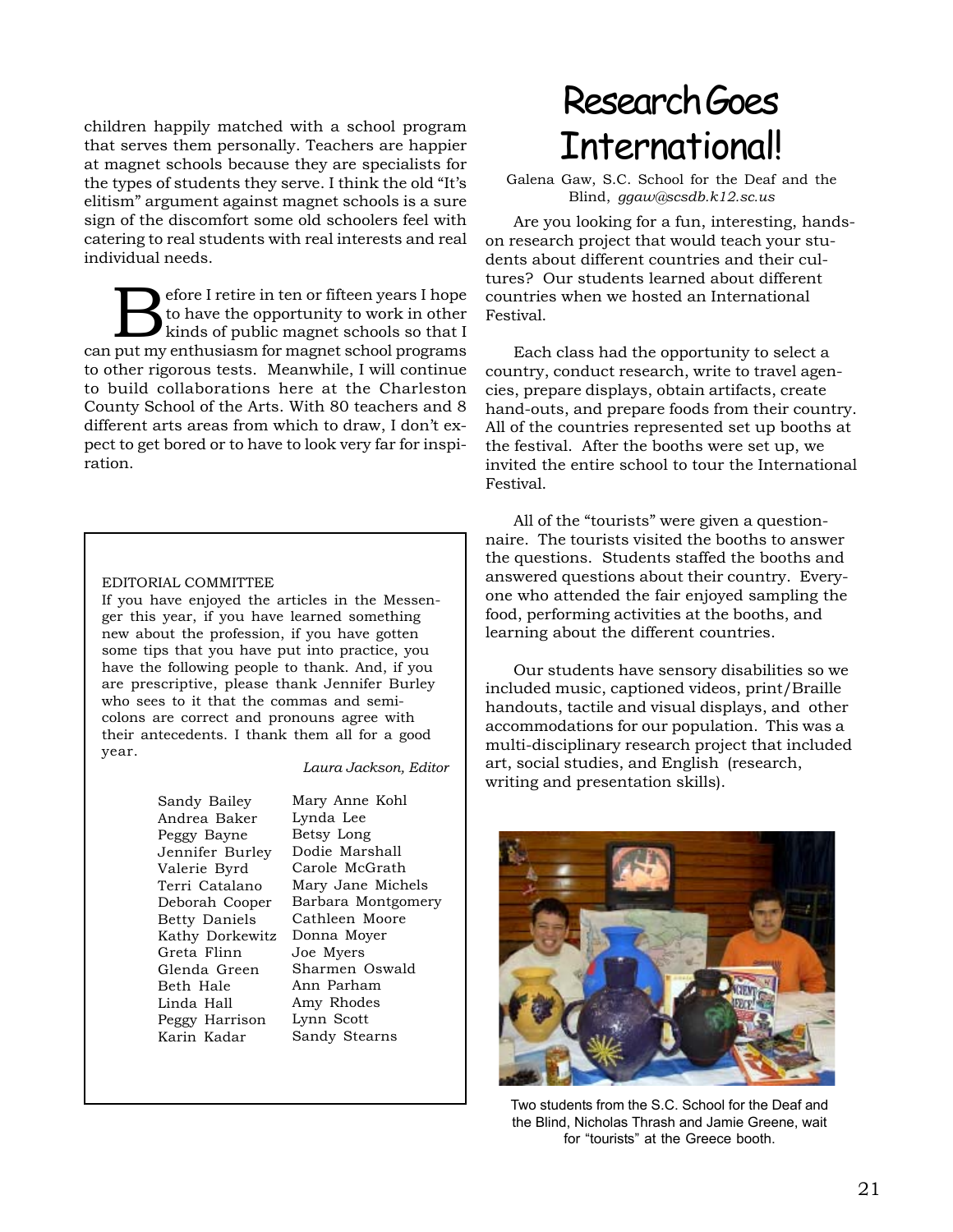children happily matched with a school program that serves them personally. Teachers are happier at magnet schools because they are specialists for the types of students they serve. I think the old "It's elitism" argument against magnet schools is a sure sign of the discomfort some old schoolers feel with catering to real students with real interests and real individual needs.

Before I retire in ten or fifteen years I hope<br>to have the opportunity to work in other<br>kinds of public magnet schools so that I to have the opportunity to work in other kinds of public magnet schools so that I can put my enthusiasm for magnet school programs to other rigorous tests. Meanwhile, I will continue to build collaborations here at the Charleston County School of the Arts. With 80 teachers and 8 different arts areas from which to draw, I don't expect to get bored or to have to look very far for inspiration.

#### EDITORIAL COMMITTEE

If you have enjoyed the articles in the Messenger this year, if you have learned something new about the profession, if you have gotten some tips that you have put into practice, you have the following people to thank. And, if you are prescriptive, please thank Jennifer Burley who sees to it that the commas and semicolons are correct and pronouns agree with their antecedents. I thank them all for a good year.

#### *Laura Jackson, Editor*

Sandy Bailey Andrea Baker Peggy Bayne Jennifer Burley Valerie Byrd Terri Catalano Deborah Cooper Betty Daniels Kathy Dorkewitz Greta Flinn Glenda Green Beth Hale Linda Hall Peggy Harrison Karin Kadar

Mary Anne Kohl Lynda Lee Betsy Long Dodie Marshall Carole McGrath Mary Jane Michels Barbara Montgomery Cathleen Moore Donna Moyer Joe Myers Sharmen Oswald Ann Parham Amy Rhodes Lynn Scott Sandy Stearns

# Research Goes **International!**

Galena Gaw, S.C. School for the Deaf and the Blind, *ggaw@scsdb.k12.sc.us*

Are you looking for a fun, interesting, handson research project that would teach your students about different countries and their cultures? Our students learned about different countries when we hosted an International Festival.

Each class had the opportunity to select a country, conduct research, write to travel agencies, prepare displays, obtain artifacts, create hand-outs, and prepare foods from their country. All of the countries represented set up booths at the festival. After the booths were set up, we invited the entire school to tour the International Festival.

All of the "tourists" were given a questionnaire. The tourists visited the booths to answer the questions. Students staffed the booths and answered questions about their country. Everyone who attended the fair enjoyed sampling the food, performing activities at the booths, and learning about the different countries.

Our students have sensory disabilities so we included music, captioned videos, print/Braille handouts, tactile and visual displays, and other accommodations for our population. This was a multi-disciplinary research project that included art, social studies, and English (research, writing and presentation skills).



Two students from the S.C. School for the Deaf and the Blind, Nicholas Thrash and Jamie Greene, wait for "tourists" at the Greece booth.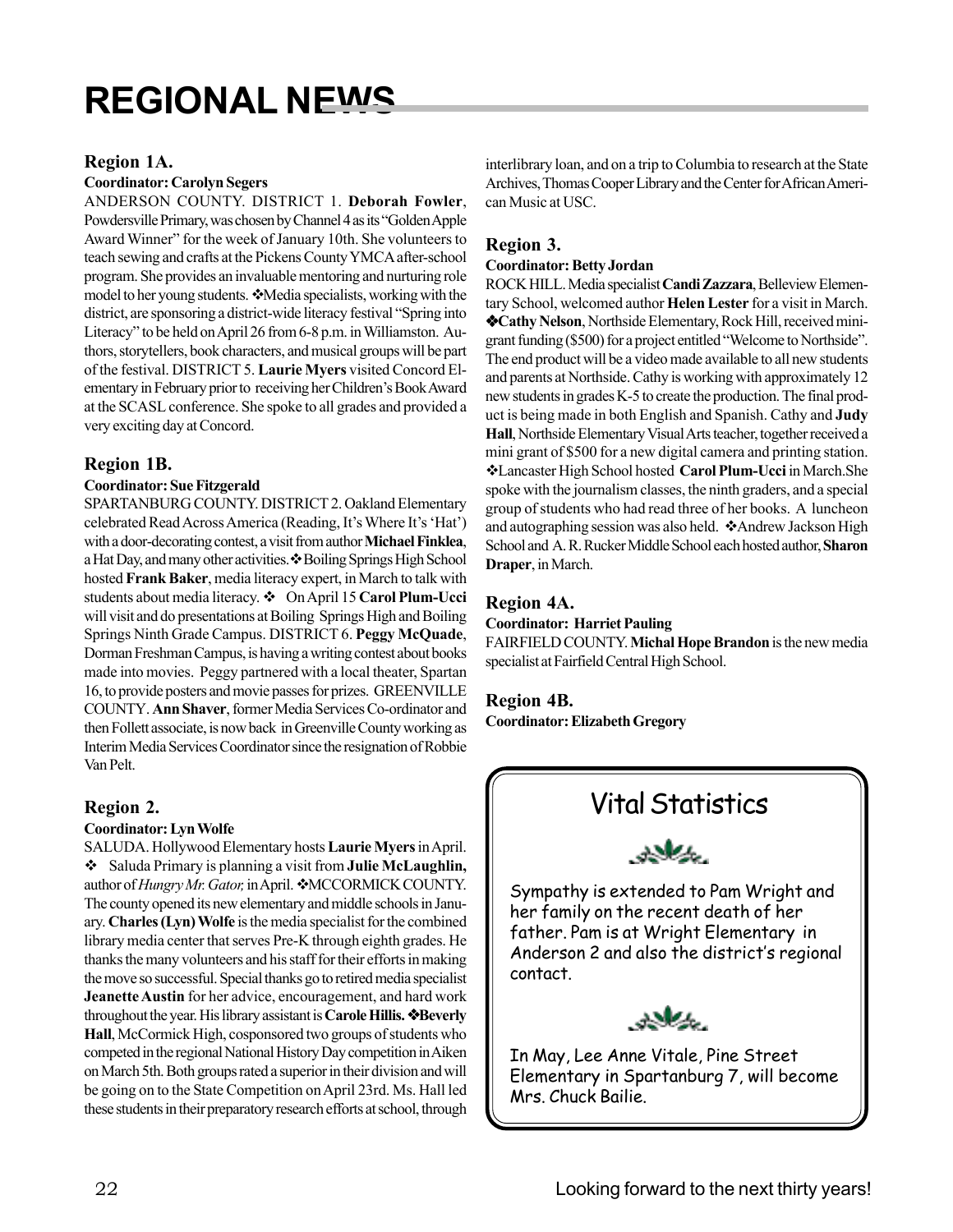# **REGIONAL NEWS**

### **Region 1A.**

### **Coordinator: Carolyn Segers**

ANDERSON COUNTY. DISTRICT 1. **Deborah Fowler**, Powdersville Primary, was chosen by Channel 4 as its "Golden Apple Award Winner" for the week of January 10th. She volunteers to teach sewing and crafts at the Pickens County YMCA after-school program. She provides an invaluable mentoring and nurturing role model to her young students. Media specialists, working with the district, are sponsoring a district-wide literacy festival "Spring into Literacy" to be held on April 26 from 6-8 p.m. in Williamston. Authors, storytellers, book characters, and musical groups will be part of the festival. DISTRICT 5. **Laurie Myers** visited Concord Elementary in February prior to receiving her Children's Book Award at the SCASL conference. She spoke to all grades and provided a very exciting day at Concord.

### **Region 1B.**

### **Coordinator: Sue Fitzgerald**

SPARTANBURG COUNTY. DISTRICT 2. Oakland Elementary celebrated Read Across America (Reading, It's Where It's 'Hat') with a door-decorating contest, a visit from author **Michael Finklea**, a Hat Day, and many other activities.  $\clubsuit$  Boiling Springs High School hosted **Frank Baker**, media literacy expert, in March to talk with students about media literacy.  $\div$  On April 15 Carol Plum-Ucci will visit and do presentations at Boiling Springs High and Boiling Springs Ninth Grade Campus. DISTRICT 6. **Peggy McQuade**, Dorman Freshman Campus, is having a writing contest about books made into movies. Peggy partnered with a local theater, Spartan 16, to provide posters and movie passes for prizes. GREENVILLE COUNTY. **Ann Shaver**, former Media Services Co-ordinator and then Follett associate, is now back in Greenville County working as Interim Media Services Coordinator since the resignation of Robbie Van Pelt.

### **Region 2.**

### **Coordinator: Lyn Wolfe**

SALUDA. Hollywood Elementary hosts **Laurie Myers** in April. Saluda Primary is planning a visit from **Julie McLaughlin,** author of *Hungry Mr. Gator*, in April.  $\cdot$ MCCORMICK COUNTY. The county opened its new elementary and middle schools in January. **Charles (Lyn) Wolfe** is the media specialist for the combined library media center that serves Pre-K through eighth grades. He thanks the many volunteers and his staff for their efforts in making the move so successful. Special thanks go to retired media specialist **Jeanette Austin** for her advice, encouragement, and hard work throughout the year. His library assistant is **Carole Hillis. Beverly Hall**, McCormick High, cosponsored two groups of students who competed in the regional National History Day competition in Aiken on March 5th. Both groups rated a superior in their division and will be going on to the State Competition on April 23rd. Ms. Hall led these students in their preparatory research efforts at school, through

interlibrary loan, and on a trip to Columbia to research at the State Archives, Thomas Cooper Library and the Center for African American Music at USC.

### **Region 3.**

### **Coordinator: Betty Jordan**

ROCK HILL. Media specialist **Candi Zazzara**, Belleview Elementary School, welcomed author **Helen Lester** for a visit in March. **Cathy Nelson**, Northside Elementary, Rock Hill, received minigrant funding (\$500) for a project entitled "Welcome to Northside". The end product will be a video made available to all new students and parents at Northside. Cathy is working with approximately 12 new students in grades K-5 to create the production. The final product is being made in both English and Spanish. Cathy and **Judy Hall**, Northside Elementary Visual Arts teacher, together received a mini grant of \$500 for a new digital camera and printing station. Lancaster High School hosted **Carol Plum-Ucci** in March.She spoke with the journalism classes, the ninth graders, and a special group of students who had read three of her books. A luncheon and autographing session was also held.  $\dots$ Andrew Jackson High School and A. R. Rucker Middle School each hosted author, **Sharon Draper**, in March.

### **Region 4A.**

### **Coordinator: Harriet Pauling**

FAIRFIELD COUNTY. **Michal Hope Brandon** is the new media specialist at Fairfield Central High School.

### **Region 4B.**

**Coordinator: Elizabeth Gregory**



Elementary in Spartanburg 7, will become Mrs. Chuck Bailie.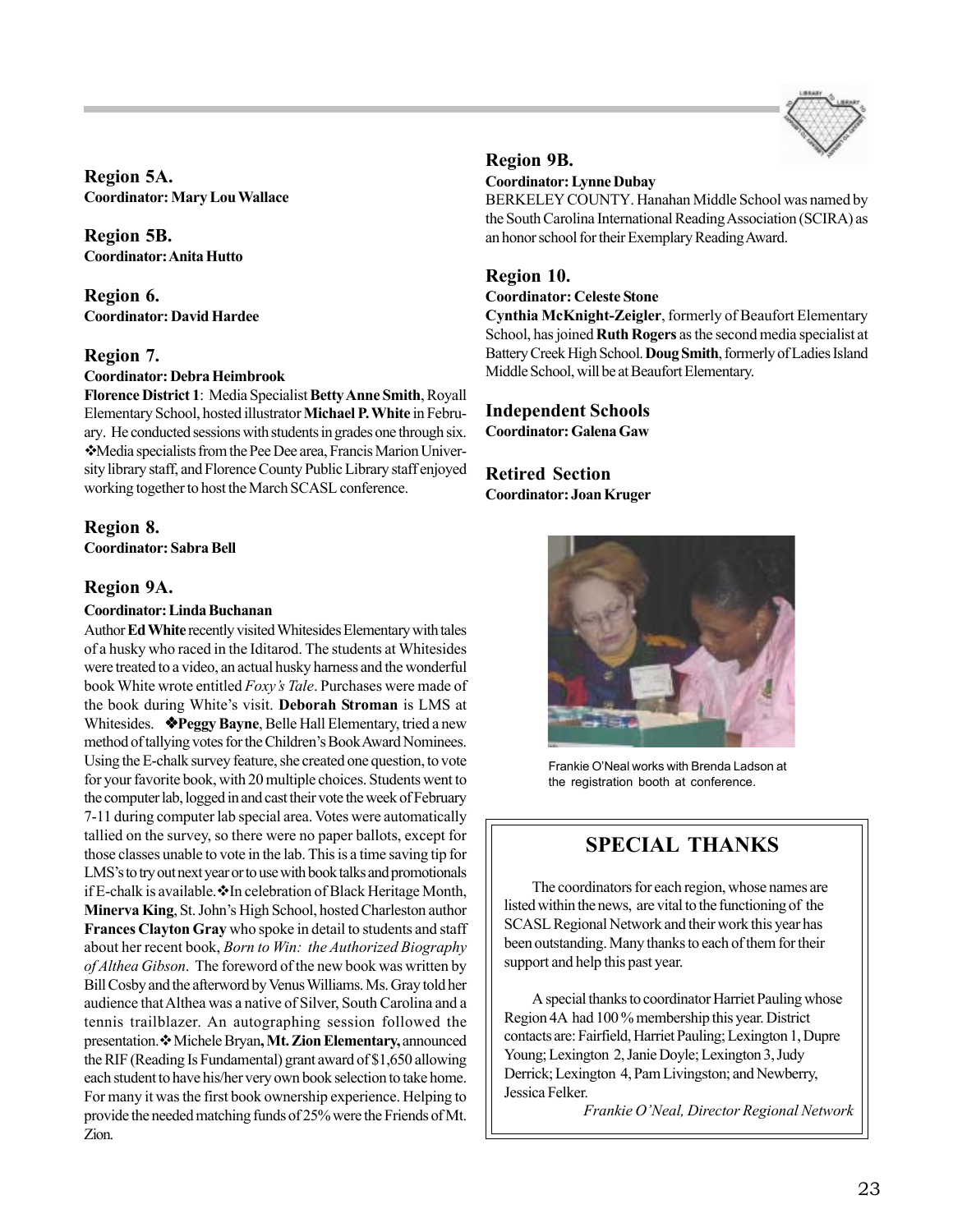

**Region 5A. Coordinator: Mary Lou Wallace**

**Region 5B. Coordinator: Anita Hutto**

**Region 6. Coordinator: David Hardee**

### **Region 7.**

### **Coordinator: Debra Heimbrook**

**Florence District 1**: Media Specialist **Betty Anne Smith**, Royall Elementary School, hosted illustrator **Michael P. White** in February. He conducted sessions with students in grades one through six. Media specialists from the Pee Dee area, Francis Marion University library staff, and Florence County Public Library staff enjoyed working together to host the March SCASL conference.

### **Region 8.**

**Coordinator: Sabra Bell**

### **Region 9A.**

### **Coordinator: Linda Buchanan**

Author **Ed White** recently visited Whitesides Elementary with tales of a husky who raced in the Iditarod. The students at Whitesides were treated to a video, an actual husky harness and the wonderful book White wrote entitled *Foxy's Tale*. Purchases were made of the book during White's visit. **Deborah Stroman** is LMS at Whitesides. **Peggy Bayne**, Belle Hall Elementary, tried a new method of tallying votes for the Children's Book Award Nominees. Using the E-chalk survey feature, she created one question, to vote for your favorite book, with 20 multiple choices. Students went to the computer lab, logged in and cast their vote the week of February 7-11 during computer lab special area. Votes were automatically tallied on the survey, so there were no paper ballots, except for those classes unable to vote in the lab. This is a time saving tip for LMS's to try out next year or to use with book talks and promotionals if E-chalk is available.  $\cdot \cdot$  In celebration of Black Heritage Month, **Minerva King**, St. John's High School, hosted Charleston author **Frances Clayton Gray** who spoke in detail to students and staff about her recent book, *Born to Win: the Authorized Biography of Althea Gibson*. The foreword of the new book was written by Bill Cosby and the afterword by Venus Williams. Ms. Gray told her audience that Althea was a native of Silver, South Carolina and a tennis trailblazer. An autographing session followed the presentation. \* Michele Bryan, Mt. Zion Elementary, announced theRIF (Reading Is Fundamental) grant award of \$1,650 allowing each student to have his/her very own book selection to take home. For many it was the first book ownership experience. Helping to provide the needed matching funds of 25% were the Friends of Mt. Zion.

### **Region 9B.**

### **Coordinator: Lynne Dubay**

BERKELEY COUNTY. Hanahan Middle School was named by the South Carolina International Reading Association (SCIRA) as an honor school for their Exemplary Reading Award.

### **Region 10.**

### **Coordinator: Celeste Stone**

**Cynthia McKnight-Zeigler**, formerly of Beaufort Elementary School, has joined **Ruth Rogers** as the second media specialist at Battery Creek High School. **Doug Smith**, formerly of Ladies Island Middle School, will be at Beaufort Elementary.

### **Independent Schools Coordinator: Galena Gaw**

### **Retired Section Coordinator: Joan Kruger**



Frankie O'Neal works with Brenda Ladson at the registration booth at conference.

## **SPECIAL THANKS**

The coordinators for each region, whose names are listed within the news, are vital to the functioning of the SCASL Regional Network and their work this year has been outstanding. Many thanks to each of them for their support and help this past year.

A special thanks to coordinator Harriet Pauling whose Region 4A had 100 % membership this year. District contacts are: Fairfield, Harriet Pauling; Lexington 1, Dupre Young; Lexington 2, Janie Doyle; Lexington 3, Judy Derrick; Lexington 4, Pam Livingston; and Newberry, Jessica Felker.

*Frankie O'Neal, Director Regional Network*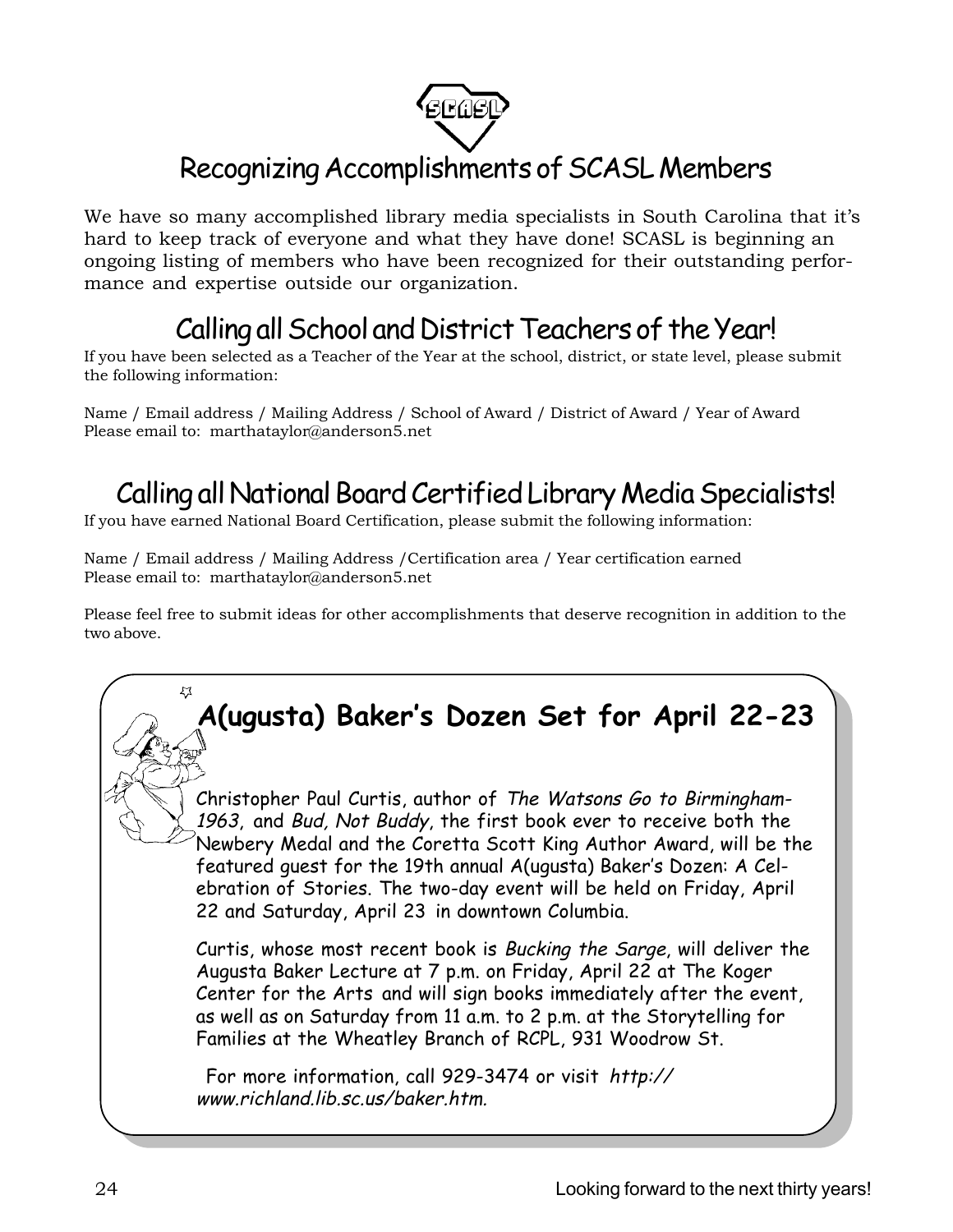

# Recognizing Accomplishments of SCASL Members

We have so many accomplished library media specialists in South Carolina that it's hard to keep track of everyone and what they have done! SCASL is beginning an ongoing listing of members who have been recognized for their outstanding performance and expertise outside our organization.

# Calling all School and District Teachers of the Year!

If you have been selected as a Teacher of the Year at the school, district, or state level, please submit the following information:

Name / Email address / Mailing Address / School of Award / District of Award / Year of Award Please email to: marthataylor@anderson5.net

# Calling all National Board Certified Library Media Specialists!

If you have earned National Board Certification, please submit the following information:

Name / Email address / Mailing Address /Certification area / Year certification earned Please email to: marthataylor@anderson5.net

Please feel free to submit ideas for other accomplishments that deserve recognition in addition to the two above.

# **A(ugusta) Baker's Dozen Set for April 22-23**

Christopher Paul Curtis, author of The Watsons Go to Birmingham-1963, and Bud, Not Buddy, the first book ever to receive both the Newbery Medal and the Coretta Scott King Author Award, will be the featured guest for the 19th annual A(ugusta) Baker's Dozen: A Celebration of Stories. The two-day event will be held on Friday, April 22 and Saturday, April 23 in downtown Columbia.

Curtis, whose most recent book is Bucking the Sarge, will deliver the Augusta Baker Lecture at 7 p.m. on Friday, April 22 at The Koger Center for the Arts and will sign books immediately after the event, as well as on Saturday from 11 a.m. to 2 p.m. at the Storytelling for Families at the Wheatley Branch of RCPL, 931 Woodrow St.

For more information, call 929-3474 or visit http:// www.richland.lib.sc.us/baker.htm.

 $\mathcal{L}$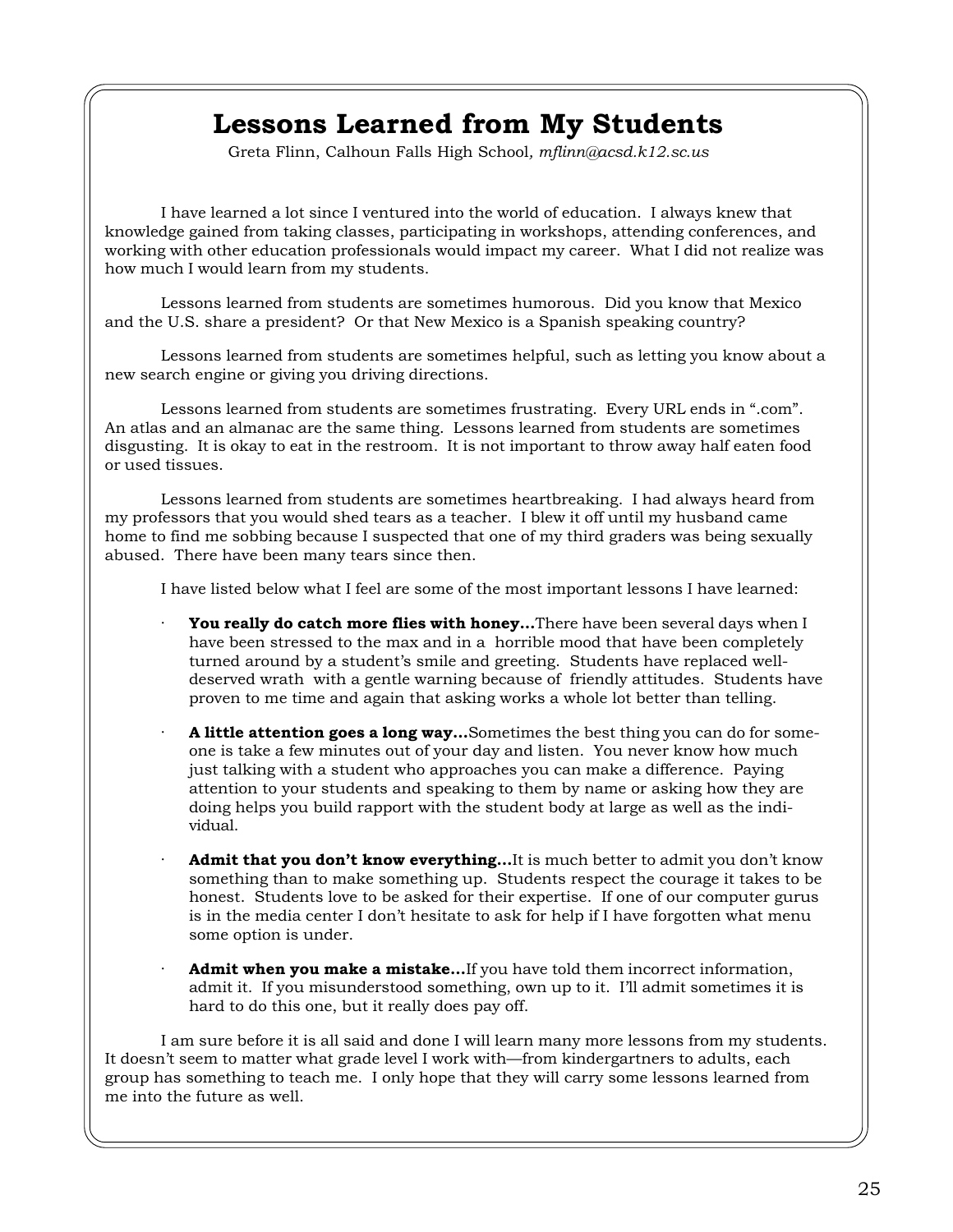## **Lessons Learned from My Students**

Greta Flinn, Calhoun Falls High School*, mflinn@acsd.k12.sc.us*

I have learned a lot since I ventured into the world of education. I always knew that knowledge gained from taking classes, participating in workshops, attending conferences, and working with other education professionals would impact my career. What I did not realize was how much I would learn from my students.

Lessons learned from students are sometimes humorous. Did you know that Mexico and the U.S. share a president? Or that New Mexico is a Spanish speaking country?

Lessons learned from students are sometimes helpful, such as letting you know about a new search engine or giving you driving directions.

Lessons learned from students are sometimes frustrating. Every URL ends in ".com". An atlas and an almanac are the same thing. Lessons learned from students are sometimes disgusting. It is okay to eat in the restroom. It is not important to throw away half eaten food or used tissues.

Lessons learned from students are sometimes heartbreaking. I had always heard from my professors that you would shed tears as a teacher. I blew it off until my husband came home to find me sobbing because I suspected that one of my third graders was being sexually abused. There have been many tears since then.

I have listed below what I feel are some of the most important lessons I have learned:

- You really do catch more flies with honey...There have been several days when I have been stressed to the max and in a horrible mood that have been completely turned around by a student's smile and greeting. Students have replaced welldeserved wrath with a gentle warning because of friendly attitudes. Students have proven to me time and again that asking works a whole lot better than telling.
- · **A little attention goes a long way…**Sometimes the best thing you can do for someone is take a few minutes out of your day and listen. You never know how much just talking with a student who approaches you can make a difference. Paying attention to your students and speaking to them by name or asking how they are doing helps you build rapport with the student body at large as well as the individual.
- Admit that you don't know everything...It is much better to admit you don't know something than to make something up. Students respect the courage it takes to be honest. Students love to be asked for their expertise. If one of our computer gurus is in the media center I don't hesitate to ask for help if I have forgotten what menu some option is under.
- Admit when you make a mistake...If you have told them incorrect information, admit it. If you misunderstood something, own up to it. I'll admit sometimes it is hard to do this one, but it really does pay off.

I am sure before it is all said and done I will learn many more lessons from my students. It doesn't seem to matter what grade level I work with—from kindergartners to adults, each group has something to teach me. I only hope that they will carry some lessons learned from me into the future as well.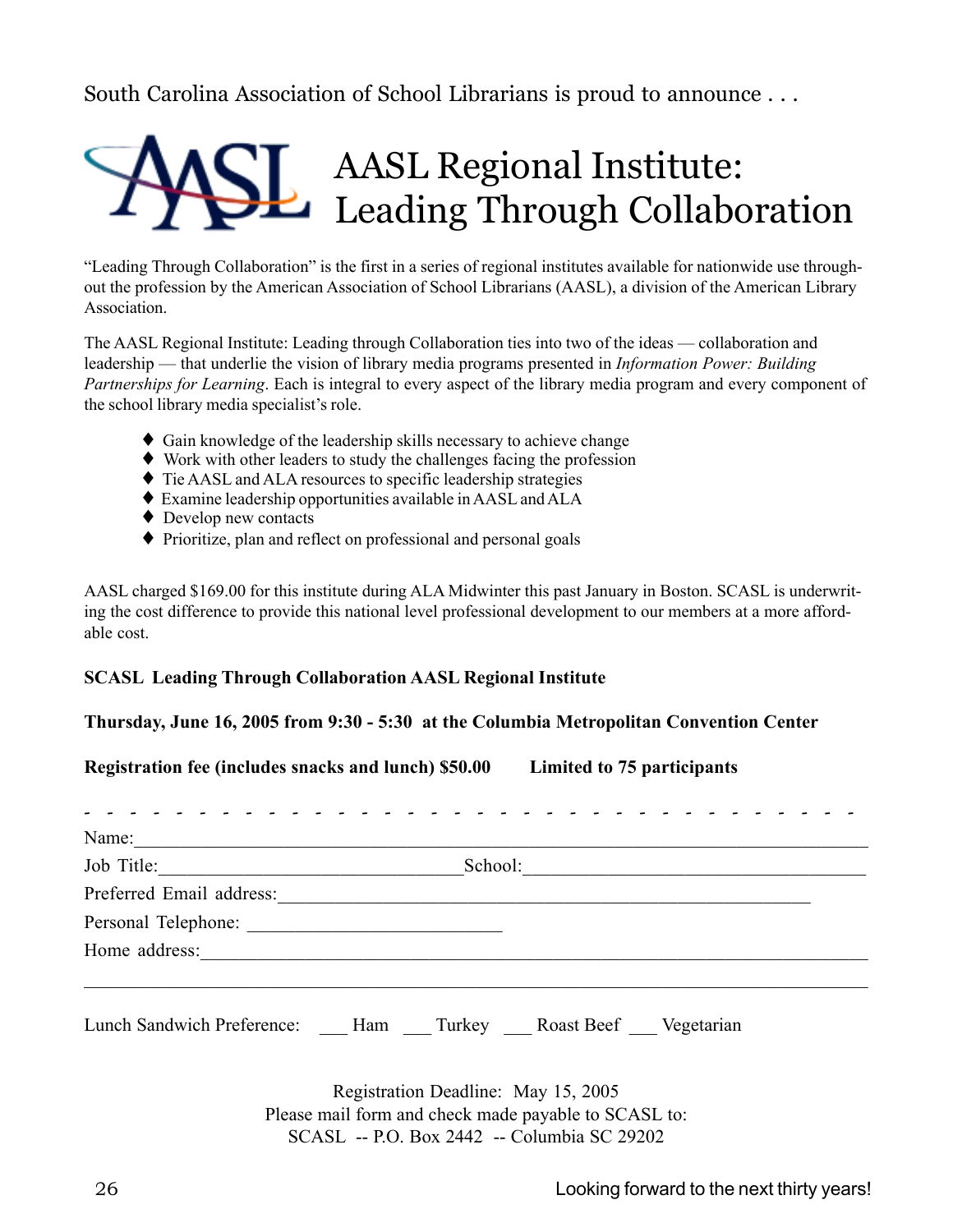South Carolina Association of School Librarians is proud to announce . . .



"Leading Through Collaboration" is the first in a series of regional institutes available for nationwide use throughout the profession by the American Association of School Librarians (AASL), a division of the American Library Association.

The AASL Regional Institute: Leading through Collaboration ties into two of the ideas — collaboration and leadership — that underlie the vision of library media programs presented in *Information Power: Building Partnerships for Learning*. Each is integral to every aspect of the library media program and every component of the school library media specialist's role.

- ♦ Gain knowledge of the leadership skills necessary to achieve change
- ♦ Work with other leaders to study the challenges facing the profession
- ♦ Tie AASL and ALA resources to specific leadership strategies
- ♦ Examine leadership opportunities available in AASL and ALA
- ◆ Develop new contacts
- ♦ Prioritize, plan and reflect on professional and personal goals

AASL charged \$169.00 for this institute during ALA Midwinter this past January in Boston. SCASL is underwriting the cost difference to provide this national level professional development to our members at a more affordable cost.

### **SCASL Leading Through Collaboration AASL Regional Institute**

### **Thursday, June 16, 2005 from 9:30 - 5:30 at the Columbia Metropolitan Convention Center**

**Registration fee (includes snacks and lunch) \$50.00 Limited to 75 participants**

| Name: $\qquad \qquad$ |                                                                   |
|-----------------------|-------------------------------------------------------------------|
|                       | School:                                                           |
|                       |                                                                   |
|                       |                                                                   |
|                       |                                                                   |
|                       | Lunch Sandwich Preference: Ham Turkey __ Roast Beef __ Vegetarian |
|                       | Registration Deadline: May 15, 2005                               |

Registration Deadline: May 15, 2005 Please mail form and check made payable to SCASL to: SCASL -- P.O. Box 2442 -- Columbia SC 29202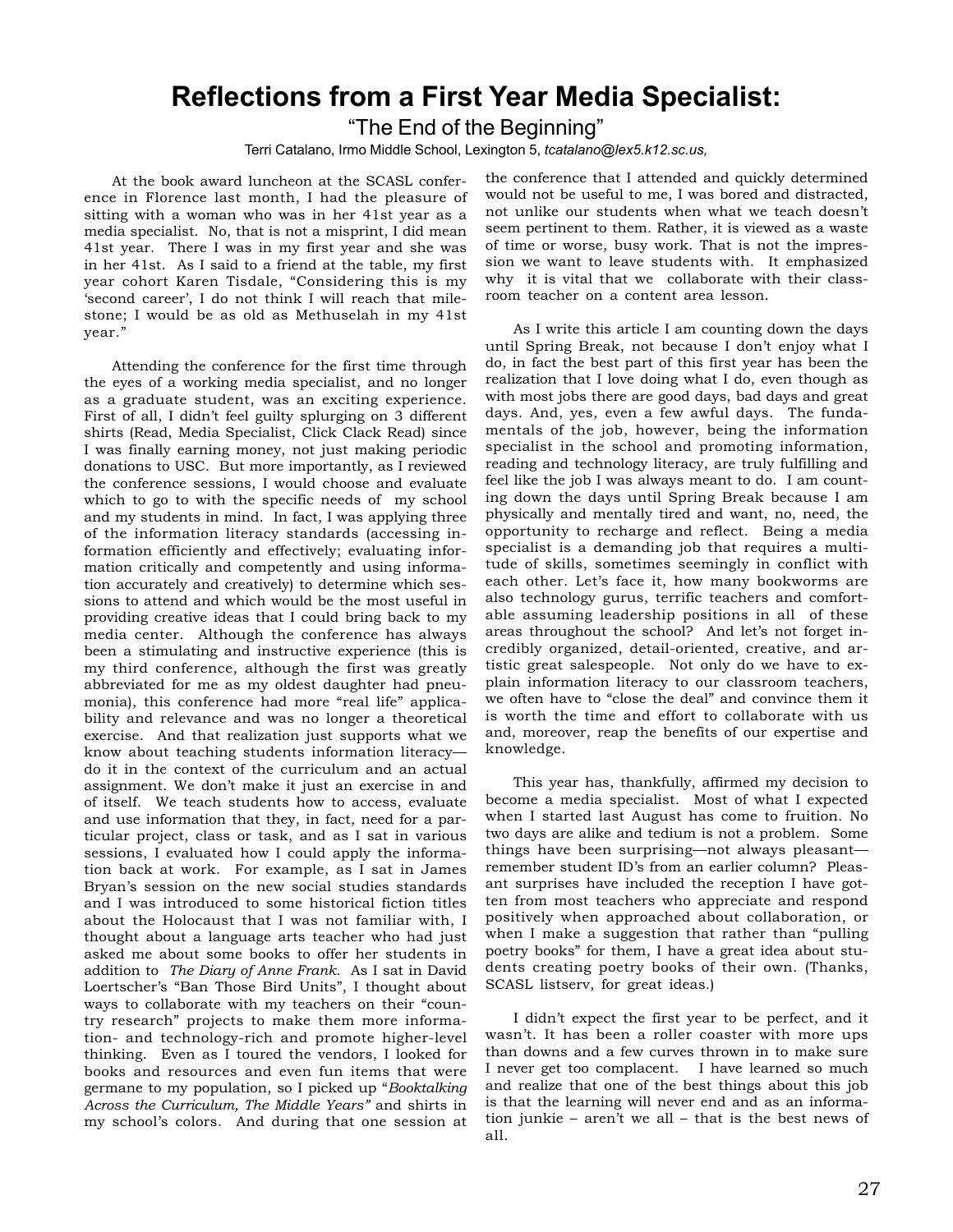## **Reflections from a First Year Media Specialist:**

"The End of the Beginning"

Terri Catalano, Irmo Middle School, Lexington 5, *tcatalano@lex5.k12.sc.us,*

At the book award luncheon at the SCASL conference in Florence last month, I had the pleasure of sitting with a woman who was in her 41st year as a media specialist. No, that is not a misprint, I did mean 41st year. There I was in my first year and she was in her 41st. As I said to a friend at the table, my first year cohort Karen Tisdale, "Considering this is my 'second career', I do not think I will reach that milestone; I would be as old as Methuselah in my 41st year."

Attending the conference for the first time through the eyes of a working media specialist, and no longer as a graduate student, was an exciting experience. First of all, I didn't feel guilty splurging on 3 different shirts (Read, Media Specialist, Click Clack Read) since I was finally earning money, not just making periodic donations to USC. But more importantly, as I reviewed the conference sessions, I would choose and evaluate which to go to with the specific needs of my school and my students in mind. In fact, I was applying three of the information literacy standards (accessing information efficiently and effectively; evaluating information critically and competently and using information accurately and creatively) to determine which sessions to attend and which would be the most useful in providing creative ideas that I could bring back to my media center. Although the conference has always been a stimulating and instructive experience (this is my third conference, although the first was greatly abbreviated for me as my oldest daughter had pneumonia), this conference had more "real life" applicability and relevance and was no longer a theoretical exercise. And that realization just supports what we know about teaching students information literacy do it in the context of the curriculum and an actual assignment. We don't make it just an exercise in and of itself. We teach students how to access, evaluate and use information that they, in fact, need for a particular project, class or task, and as I sat in various sessions, I evaluated how I could apply the information back at work. For example, as I sat in James Bryan's session on the new social studies standards and I was introduced to some historical fiction titles about the Holocaust that I was not familiar with, I thought about a language arts teacher who had just asked me about some books to offer her students in addition to *The Diary of Anne Frank.* As I sat in David Loertscher's "Ban Those Bird Units", I thought about ways to collaborate with my teachers on their "country research" projects to make them more information- and technology-rich and promote higher-level thinking. Even as I toured the vendors, I looked for books and resources and even fun items that were germane to my population, so I picked up "*Booktalking Across the Curriculum, The Middle Years"* and shirts in my school's colors. And during that one session at

the conference that I attended and quickly determined would not be useful to me, I was bored and distracted, not unlike our students when what we teach doesn't seem pertinent to them. Rather, it is viewed as a waste of time or worse, busy work. That is not the impression we want to leave students with. It emphasized why it is vital that we collaborate with their classroom teacher on a content area lesson.

As I write this article I am counting down the days until Spring Break, not because I don't enjoy what I do, in fact the best part of this first year has been the realization that I love doing what I do, even though as with most jobs there are good days, bad days and great days. And, yes, even a few awful days. The fundamentals of the job, however, being the information specialist in the school and promoting information, reading and technology literacy, are truly fulfilling and feel like the job I was always meant to do. I am counting down the days until Spring Break because I am physically and mentally tired and want, no, need, the opportunity to recharge and reflect. Being a media specialist is a demanding job that requires a multitude of skills, sometimes seemingly in conflict with each other. Let's face it, how many bookworms are also technology gurus, terrific teachers and comfortable assuming leadership positions in all of these areas throughout the school? And let's not forget incredibly organized, detail-oriented, creative, and artistic great salespeople. Not only do we have to explain information literacy to our classroom teachers, we often have to "close the deal" and convince them it is worth the time and effort to collaborate with us and, moreover, reap the benefits of our expertise and knowledge.

This year has, thankfully, affirmed my decision to become a media specialist. Most of what I expected when I started last August has come to fruition. No two days are alike and tedium is not a problem. Some things have been surprising—not always pleasant remember student ID's from an earlier column? Pleasant surprises have included the reception I have gotten from most teachers who appreciate and respond positively when approached about collaboration, or when I make a suggestion that rather than "pulling poetry books" for them, I have a great idea about students creating poetry books of their own. (Thanks, SCASL listserv, for great ideas.)

I didn't expect the first year to be perfect, and it wasn't. It has been a roller coaster with more ups than downs and a few curves thrown in to make sure I never get too complacent. I have learned so much and realize that one of the best things about this job is that the learning will never end and as an information junkie – aren't we all – that is the best news of all.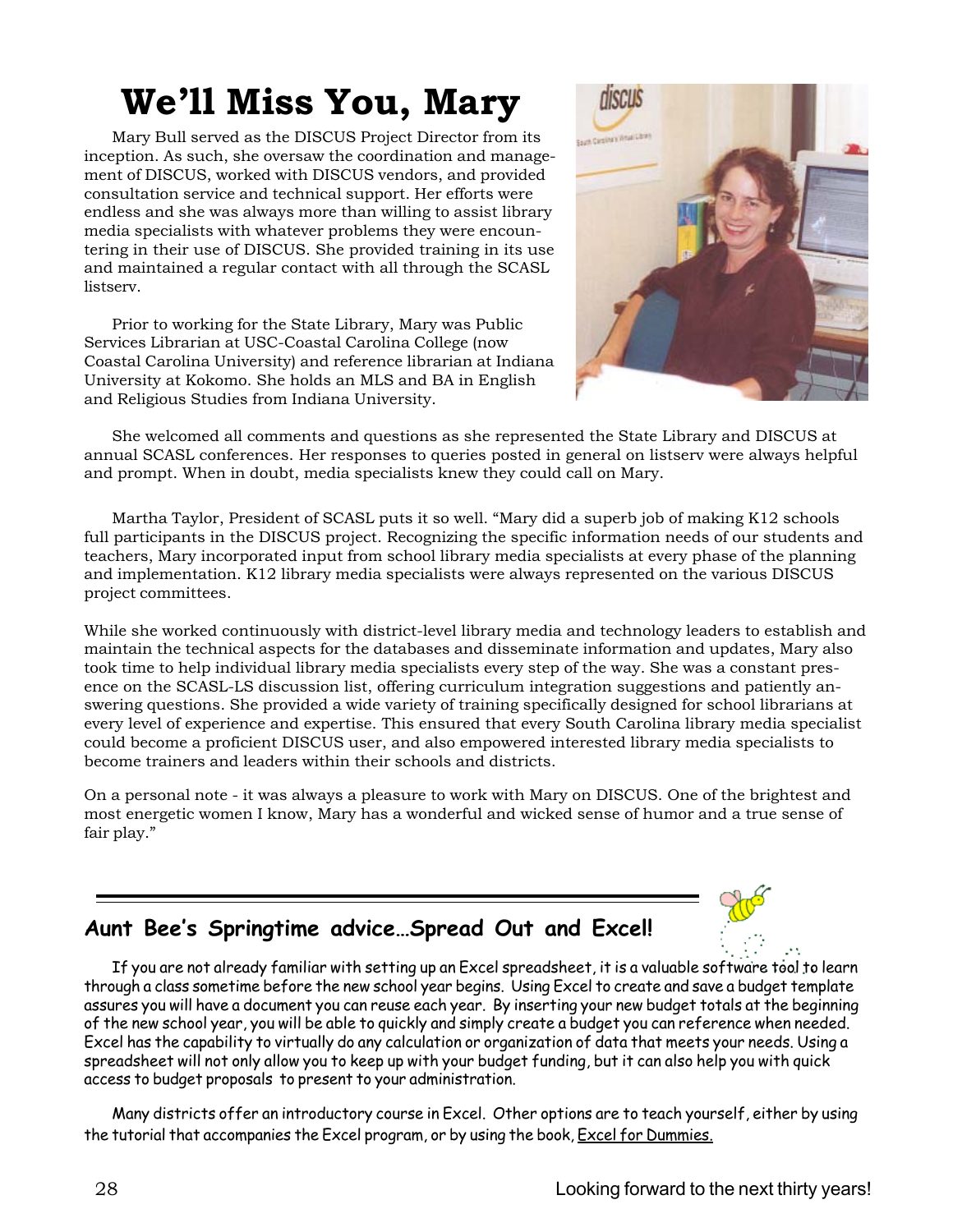# **We'll Miss You, Mary**

Mary Bull served as the DISCUS Project Director from its inception. As such, she oversaw the coordination and management of DISCUS, worked with DISCUS vendors, and provided consultation service and technical support. Her efforts were endless and she was always more than willing to assist library media specialists with whatever problems they were encountering in their use of DISCUS. She provided training in its use and maintained a regular contact with all through the SCASL listserv.

Prior to working for the State Library, Mary was Public Services Librarian at USC-Coastal Carolina College (now Coastal Carolina University) and reference librarian at Indiana University at Kokomo. She holds an MLS and BA in English and Religious Studies from Indiana University.



She welcomed all comments and questions as she represented the State Library and DISCUS at annual SCASL conferences. Her responses to queries posted in general on listserv were always helpful and prompt. When in doubt, media specialists knew they could call on Mary.

Martha Taylor, President of SCASL puts it so well. "Mary did a superb job of making K12 schools full participants in the DISCUS project. Recognizing the specific information needs of our students and teachers, Mary incorporated input from school library media specialists at every phase of the planning and implementation. K12 library media specialists were always represented on the various DISCUS project committees.

While she worked continuously with district-level library media and technology leaders to establish and maintain the technical aspects for the databases and disseminate information and updates, Mary also took time to help individual library media specialists every step of the way. She was a constant presence on the SCASL-LS discussion list, offering curriculum integration suggestions and patiently answering questions. She provided a wide variety of training specifically designed for school librarians at every level of experience and expertise. This ensured that every South Carolina library media specialist could become a proficient DISCUS user, and also empowered interested library media specialists to become trainers and leaders within their schools and districts.

On a personal note - it was always a pleasure to work with Mary on DISCUS. One of the brightest and most energetic women I know, Mary has a wonderful and wicked sense of humor and a true sense of fair play."



## **Aunt Bee's Springtime advice…Spread Out and Excel!**

If you are not already familiar with setting up an Excel spreadsheet, it is a valuable software tool to learn through a class sometime before the new school year begins. Using Excel to create and save a budget template assures you will have a document you can reuse each year. By inserting your new budget totals at the beginning of the new school year, you will be able to quickly and simply create a budget you can reference when needed. Excel has the capability to virtually do any calculation or organization of data that meets your needs. Using a spreadsheet will not only allow you to keep up with your budget funding, but it can also help you with quick access to budget proposals to present to your administration.

Many districts offer an introductory course in Excel. Other options are to teach yourself, either by using the tutorial that accompanies the Excel program, or by using the book, Excel for Dummies.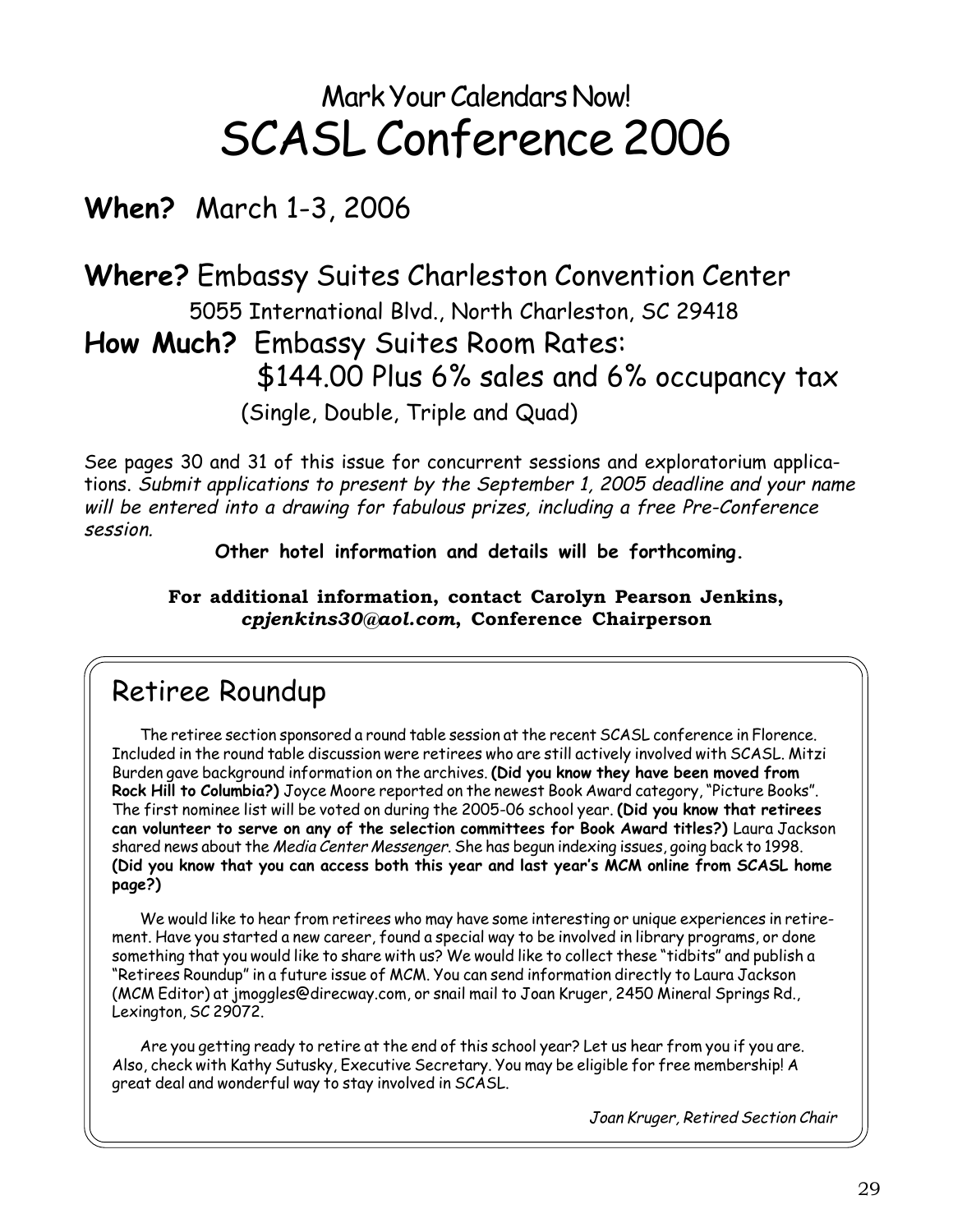# Mark Your Calendars Now! SCASL Conference 2006

# **When?** March 1-3, 2006

# **Where?** Embassy Suites Charleston Convention Center 5055 International Blvd., North Charleston, SC 29418 **How Much?** Embassy Suites Room Rates: \$144.00 Plus 6% sales and 6% occupancy tax (Single, Double, Triple and Quad)

See pages 30 and 31 of this issue for concurrent sessions and exploratorium applications. Submit applications to present by the September 1, 2005 deadline and your name will be entered into a drawing for fabulous prizes, including a free Pre-Conference session.

**Other hotel information and details will be forthcoming.**

### **For additional information, contact Carolyn Pearson Jenkins,** *cpjenkins30@aol.com***, Conference Chairperson**

## Retiree Roundup

The retiree section sponsored a round table session at the recent SCASL conference in Florence. Included in the round table discussion were retirees who are still actively involved with SCASL. Mitzi Burden gave background information on the archives. **(Did you know they have been moved from Rock Hill to Columbia?)** Joyce Moore reported on the newest Book Award category, "Picture Books". The first nominee list will be voted on during the 2005-06 school year. **(Did you know that retirees can volunteer to serve on any of the selection committees for Book Award titles?)** Laura Jackson shared news about the Media Center Messenger. She has begun indexing issues, going back to 1998. **(Did you know that you can access both this year and last year's MCM online from SCASL home page?)**

We would like to hear from retirees who may have some interesting or unique experiences in retirement. Have you started a new career, found a special way to be involved in library programs, or done something that you would like to share with us? We would like to collect these "tidbits" and publish a "Retirees Roundup" in a future issue of MCM. You can send information directly to Laura Jackson (MCM Editor) at jmoggles@direcway.com, or snail mail to Joan Kruger, 2450 Mineral Springs Rd., Lexington, SC 29072.

Are you getting ready to retire at the end of this school year? Let us hear from you if you are. Also, check with Kathy Sutusky, Executive Secretary. You may be eligible for free membership! A great deal and wonderful way to stay involved in SCASL.

Joan Kruger, Retired Section Chair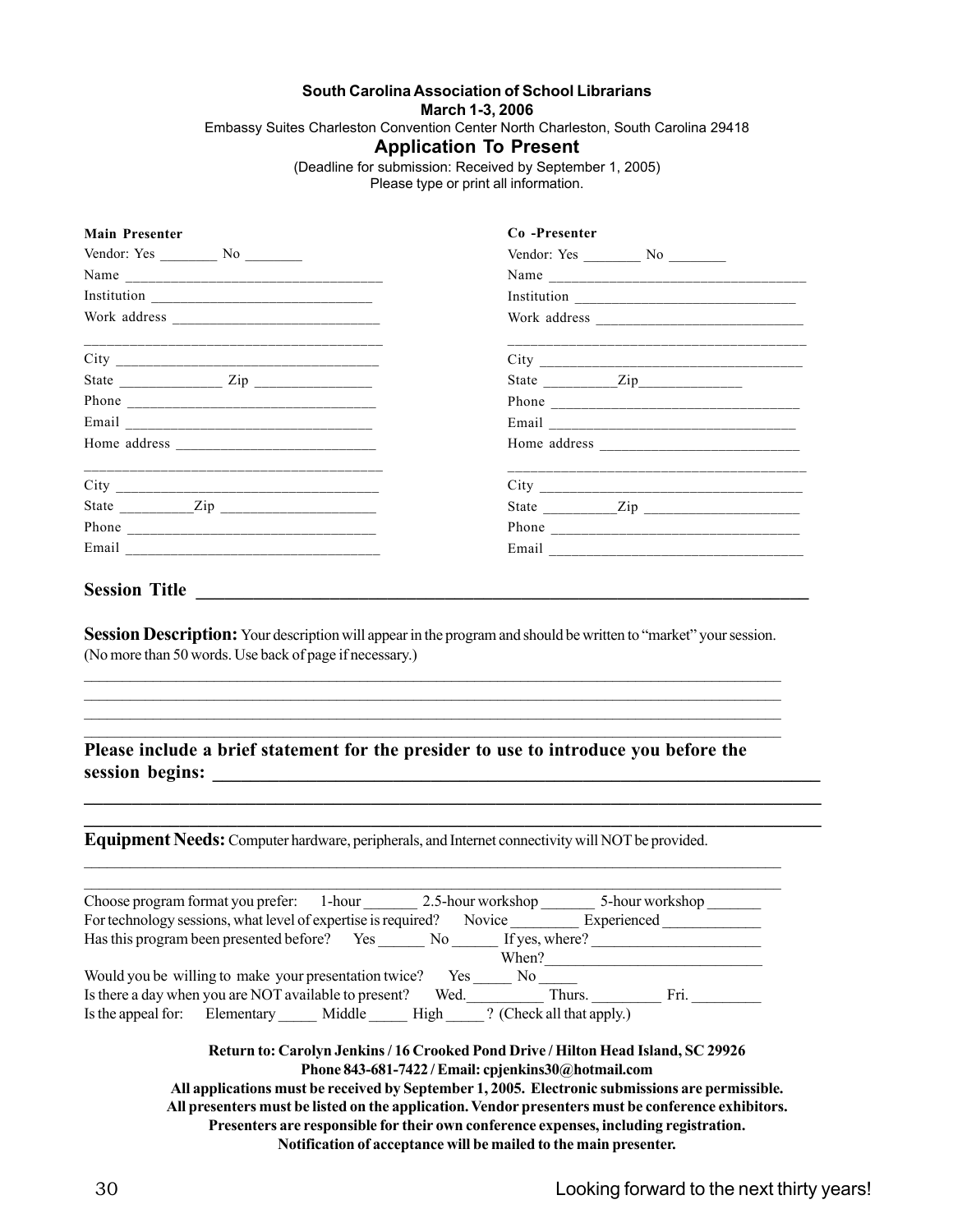#### **South Carolina Association of School Librarians**

**March 1-3, 2006**

Embassy Suites Charleston Convention Center North Charleston, South Carolina 29418

### **Application To Present**

(Deadline for submission: Received by September 1, 2005)

Please type or print all information.

| <b>Main Presenter</b>                                        | Co-Presenter                                                                                                          |  |
|--------------------------------------------------------------|-----------------------------------------------------------------------------------------------------------------------|--|
| Vendor: Yes $\_\_\_\_\_\_\_\_\_\_\_\_\_\_\_\_\_\_\_\_\_\_\_$ |                                                                                                                       |  |
|                                                              |                                                                                                                       |  |
| Institution $\qquad \qquad$                                  |                                                                                                                       |  |
|                                                              |                                                                                                                       |  |
|                                                              | <u>. 2000 - 2000 - 2000 - 2000 - 2000 - 2000 - 2000 - 2000 - 2000 - 2000 - 2000 - 2000 - 2000 - 2000 - 2000 - 20</u>  |  |
|                                                              | State $\frac{Zip_{\text{max}}}{\text{min}}$                                                                           |  |
|                                                              |                                                                                                                       |  |
|                                                              |                                                                                                                       |  |
|                                                              |                                                                                                                       |  |
|                                                              | <u> 1990 - Jan Jan James, martin bir al-dahar bertama dalam bertama dalam personal dan bertama dalam bertama dala</u> |  |
| State $\frac{Zip}{\cdot}$ $\frac{Zip}{\cdot}$                |                                                                                                                       |  |
|                                                              |                                                                                                                       |  |
|                                                              |                                                                                                                       |  |

**Session Description:** Your description will appear in the program and should be written to "market" your session. (No more than 50 words. Use back of page if necessary.)

### **Please include a brief statement for the presider to use to introduce you before the** session begins:

 $\mathcal{L}_\mathcal{L} = \{ \mathcal{L}_\mathcal{L} = \{ \mathcal{L}_\mathcal{L} = \{ \mathcal{L}_\mathcal{L} = \{ \mathcal{L}_\mathcal{L} = \{ \mathcal{L}_\mathcal{L} = \{ \mathcal{L}_\mathcal{L} = \{ \mathcal{L}_\mathcal{L} = \{ \mathcal{L}_\mathcal{L} = \{ \mathcal{L}_\mathcal{L} = \{ \mathcal{L}_\mathcal{L} = \{ \mathcal{L}_\mathcal{L} = \{ \mathcal{L}_\mathcal{L} = \{ \mathcal{L}_\mathcal{L} = \{ \mathcal{L}_\mathcal{$  $\mathcal{L}_\mathcal{L} = \{ \mathcal{L}_\mathcal{L} = \{ \mathcal{L}_\mathcal{L} = \{ \mathcal{L}_\mathcal{L} = \{ \mathcal{L}_\mathcal{L} = \{ \mathcal{L}_\mathcal{L} = \{ \mathcal{L}_\mathcal{L} = \{ \mathcal{L}_\mathcal{L} = \{ \mathcal{L}_\mathcal{L} = \{ \mathcal{L}_\mathcal{L} = \{ \mathcal{L}_\mathcal{L} = \{ \mathcal{L}_\mathcal{L} = \{ \mathcal{L}_\mathcal{L} = \{ \mathcal{L}_\mathcal{L} = \{ \mathcal{L}_\mathcal{$ 

 $\mathcal{L}_\mathcal{L} = \{ \mathcal{L}_\mathcal{L} = \{ \mathcal{L}_\mathcal{L} = \{ \mathcal{L}_\mathcal{L} = \{ \mathcal{L}_\mathcal{L} = \{ \mathcal{L}_\mathcal{L} = \{ \mathcal{L}_\mathcal{L} = \{ \mathcal{L}_\mathcal{L} = \{ \mathcal{L}_\mathcal{L} = \{ \mathcal{L}_\mathcal{L} = \{ \mathcal{L}_\mathcal{L} = \{ \mathcal{L}_\mathcal{L} = \{ \mathcal{L}_\mathcal{L} = \{ \mathcal{L}_\mathcal{L} = \{ \mathcal{L}_\mathcal{$ 

**\_\_\_\_\_\_\_\_\_\_\_\_\_\_\_\_\_\_\_\_\_\_\_\_\_\_\_\_\_\_\_\_\_\_\_\_\_\_\_\_\_\_\_\_\_\_\_\_\_\_\_\_\_\_\_\_\_\_\_\_\_\_\_\_\_\_\_\_\_\_\_\_\_\_\_\_\_ \_\_\_\_\_\_\_\_\_\_\_\_\_\_\_\_\_\_\_\_\_\_\_\_\_\_\_\_\_\_\_\_\_\_\_\_\_\_\_\_\_\_\_\_\_\_\_\_\_\_\_\_\_\_\_\_\_\_\_\_\_\_\_\_\_\_\_\_\_\_\_\_\_\_\_\_\_**

**Equipment Needs:** Computer hardware, peripherals, and Internet connectivity will NOT be provided.

| Choose program format you prefer: 1-hour                      | 2.5-hour workshop | 5-hour workshop           |
|---------------------------------------------------------------|-------------------|---------------------------|
| For technology sessions, what level of expertise is required? | Novice            | Experienced               |
| Has this program been presented before? Yes                   | No r              | If yes, where?            |
|                                                               | When?             |                           |
| Would you be willing to make your presentation twice?         | Yes<br>No.        |                           |
| Is there a day when you are NOT available to present?         | Wed.              | Fri.<br>Thurs.            |
| Is the appeal for: Elementary Middle High                     |                   | ? (Check all that apply.) |

 $\mathcal{L}_\mathcal{L} = \{ \mathcal{L}_\mathcal{L} = \{ \mathcal{L}_\mathcal{L} = \{ \mathcal{L}_\mathcal{L} = \{ \mathcal{L}_\mathcal{L} = \{ \mathcal{L}_\mathcal{L} = \{ \mathcal{L}_\mathcal{L} = \{ \mathcal{L}_\mathcal{L} = \{ \mathcal{L}_\mathcal{L} = \{ \mathcal{L}_\mathcal{L} = \{ \mathcal{L}_\mathcal{L} = \{ \mathcal{L}_\mathcal{L} = \{ \mathcal{L}_\mathcal{L} = \{ \mathcal{L}_\mathcal{L} = \{ \mathcal{L}_\mathcal{$ 

**Return to: Carolyn Jenkins / 16 Crooked Pond Drive / Hilton Head Island, SC 29926 Phone 843-681-7422 / Email: cpjenkins30@hotmail.com All applications must be received by September 1, 2005. Electronic submissions are permissible.**

**All presenters must be listed on the application. Vendor presenters must be conference exhibitors. Presenters are responsible for their own conference expenses, including registration. Notification of acceptance will be mailed to the main presenter.**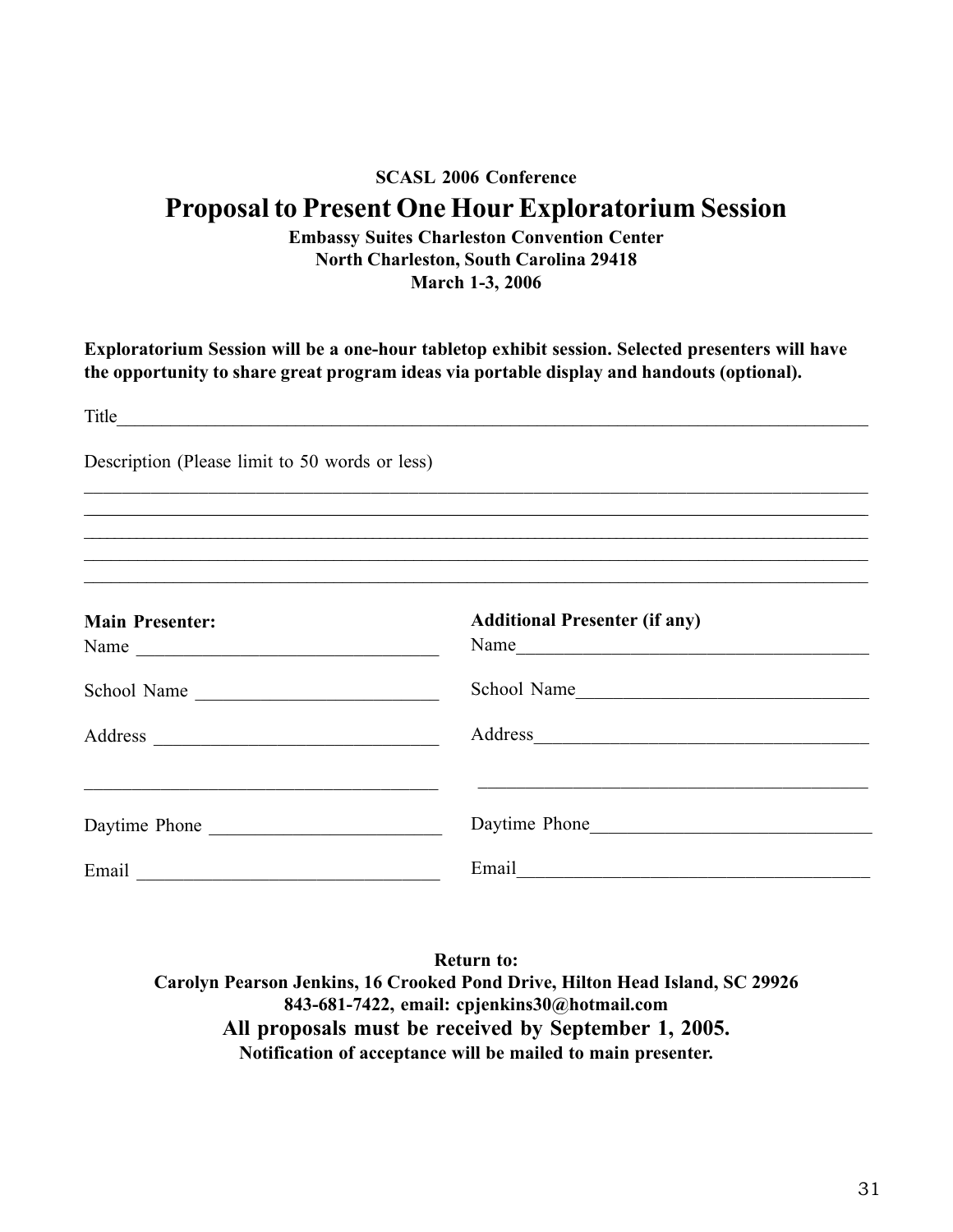## **SCASL 2006 Conference Proposal to Present One Hour Exploratorium Session**

**Embassy Suites Charleston Convention Center North Charleston, South Carolina 29418 March 1-3, 2006**

**Exploratorium Session will be a one-hour tabletop exhibit session. Selected presenters will have the opportunity to share great program ideas via portable display and handouts (optional).**

| Description (Please limit to 50 words or less) |                                              |
|------------------------------------------------|----------------------------------------------|
|                                                |                                              |
| <b>Main Presenter:</b>                         | <b>Additional Presenter (if any)</b><br>Name |
| School Name                                    | School Name                                  |
|                                                | Address                                      |
| Daytime Phone                                  | Daytime Phone                                |
|                                                | Email <u>experience</u>                      |

**Return to: Carolyn Pearson Jenkins, 16 Crooked Pond Drive, Hilton Head Island, SC 29926 843-681-7422, email: cpjenkins30@hotmail.com All proposals must be received by September 1, 2005. Notification of acceptance will be mailed to main presenter.**